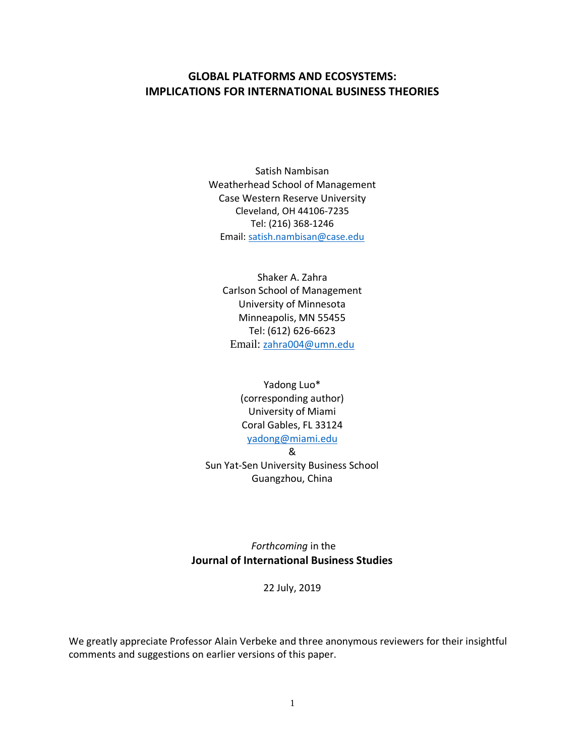# **GLOBAL PLATFORMS AND ECOSYSTEMS: IMPLICATIONS FOR INTERNATIONAL BUSINESS THEORIES**

Satish Nambisan Weatherhead School of Management Case Western Reserve University Cleveland, OH 44106-7235 Tel: (216) 368-1246 Email: [satish.nambisan@case.edu](mailto:satish.nambisan@case.edu)

Shaker A. Zahra Carlson School of Management University of Minnesota Minneapolis, MN 55455 Tel: (612) 626-6623 Email: [zahra004@umn.edu](mailto:zahra004@umn.edu)

Yadong Luo\* (corresponding author) University of Miami Coral Gables, FL 33124 [yadong@miami.edu](mailto:yadong@miami.edu) & Sun Yat-Sen University Business School

Guangzhou, China

*Forthcoming* in the **Journal of International Business Studies**

22 July, 2019

We greatly appreciate Professor Alain Verbeke and three anonymous reviewers for their insightful comments and suggestions on earlier versions of this paper.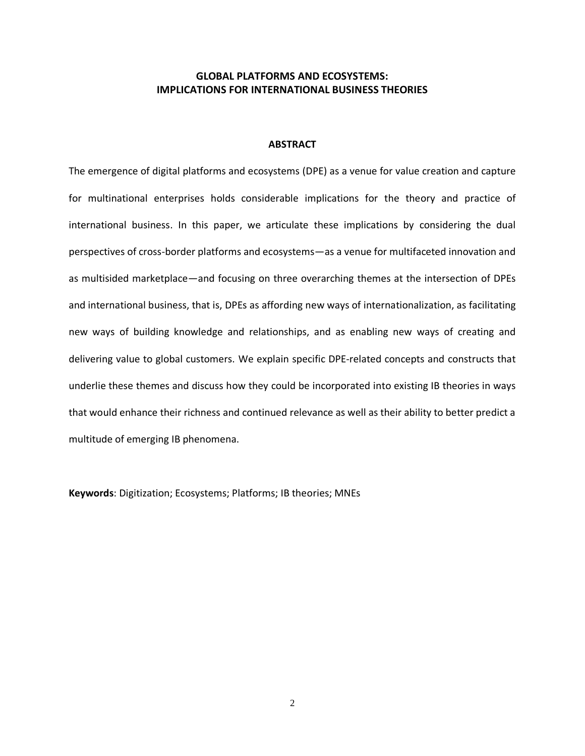## **GLOBAL PLATFORMS AND ECOSYSTEMS: IMPLICATIONS FOR INTERNATIONAL BUSINESS THEORIES**

## **ABSTRACT**

The emergence of digital platforms and ecosystems (DPE) as a venue for value creation and capture for multinational enterprises holds considerable implications for the theory and practice of international business. In this paper, we articulate these implications by considering the dual perspectives of cross-border platforms and ecosystems—as a venue for multifaceted innovation and as multisided marketplace—and focusing on three overarching themes at the intersection of DPEs and international business, that is, DPEs as affording new ways of internationalization, as facilitating new ways of building knowledge and relationships, and as enabling new ways of creating and delivering value to global customers. We explain specific DPE-related concepts and constructs that underlie these themes and discuss how they could be incorporated into existing IB theories in ways that would enhance their richness and continued relevance as well as their ability to better predict a multitude of emerging IB phenomena.

**Keywords**: Digitization; Ecosystems; Platforms; IB theories; MNEs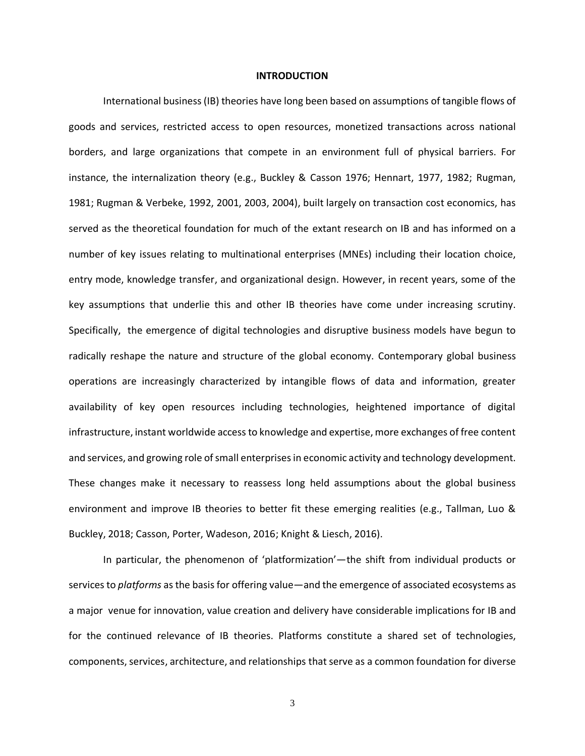#### **INTRODUCTION**

International business (IB) theories have long been based on assumptions of tangible flows of goods and services, restricted access to open resources, monetized transactions across national borders, and large organizations that compete in an environment full of physical barriers. For instance, the internalization theory (e.g., Buckley & Casson 1976; Hennart, 1977, 1982; Rugman, 1981; Rugman & Verbeke, 1992, 2001, 2003, 2004), built largely on transaction cost economics, has served as the theoretical foundation for much of the extant research on IB and has informed on a number of key issues relating to multinational enterprises (MNEs) including their location choice, entry mode, knowledge transfer, and organizational design. However, in recent years, some of the key assumptions that underlie this and other IB theories have come under increasing scrutiny. Specifically, the emergence of digital technologies and disruptive business models have begun to radically reshape the nature and structure of the global economy. Contemporary global business operations are increasingly characterized by intangible flows of data and information, greater availability of key open resources including technologies, heightened importance of digital infrastructure, instant worldwide access to knowledge and expertise, more exchanges of free content and services, and growing role of small enterprisesin economic activity and technology development. These changes make it necessary to reassess long held assumptions about the global business environment and improve IB theories to better fit these emerging realities (e.g., Tallman, Luo & Buckley, 2018; Casson, Porter, Wadeson, 2016; Knight & Liesch, 2016).

In particular, the phenomenon of 'platformization'—the shift from individual products or services to *platforms* as the basis for offering value—and the emergence of associated ecosystems as a major venue for innovation, value creation and delivery have considerable implications for IB and for the continued relevance of IB theories. Platforms constitute a shared set of technologies, components, services, architecture, and relationships that serve as a common foundation for diverse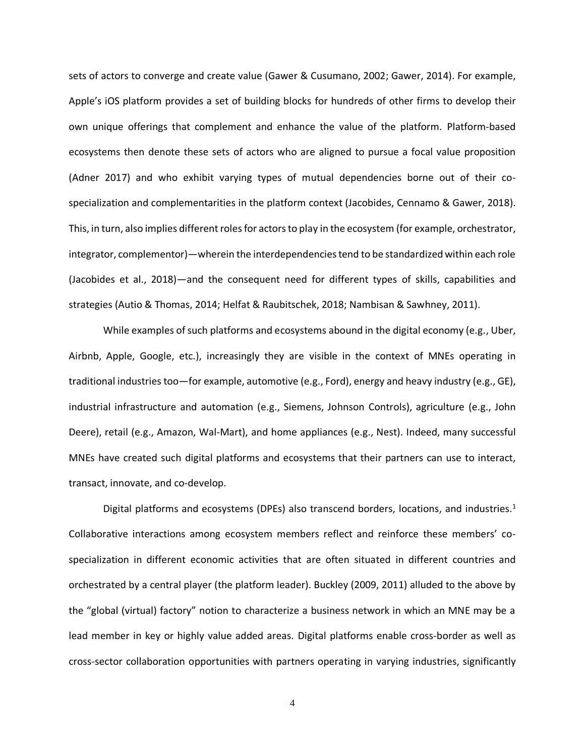sets of actors to converge and create value (Gawer & Cusumano, 2002; Gawer, 2014). For example, Apple's iOS platform provides a set of building blocks for hundreds of other firms to develop their own unique offerings that complement and enhance the value of the platform. Platform-based ecosystems then denote these sets of actors who are aligned to pursue a focal value proposition (Adner 2017) and who exhibit varying types of mutual dependencies borne out of their cospecialization and complementarities in the platform context (Jacobides, Cennamo & Gawer, 2018). This, in turn, also implies different roles for actors to play in the ecosystem (for example, orchestrator, integrator, complementor)—wherein the interdependencies tend to be standardized within each role (Jacobides et al., 2018)—and the consequent need for different types of skills, capabilities and strategies (Autio & Thomas, 2014; Helfat & Raubitschek, 2018; Nambisan & Sawhney, 2011).

While examples of such platforms and ecosystems abound in the digital economy (e.g., Uber, Airbnb, Apple, Google, etc.), increasingly they are visible in the context of MNEs operating in traditional industries too—for example, automotive (e.g., Ford), energy and heavy industry (e.g., GE), industrial infrastructure and automation (e.g., Siemens, Johnson Controls), agriculture (e.g., John Deere), retail (e.g., Amazon, Wal-Mart), and home appliances (e.g., Nest). Indeed, many successful MNEs have created such digital platforms and ecosystems that their partners can use to interact, transact, innovate, and co-develop.

Digital platforms and ecosystems (DPEs) also transcend borders, locations, and industries.<sup>1</sup> Collaborative interactions among ecosystem members reflect and reinforce these members' cospecialization in different economic activities that are often situated in different countries and orchestrated by a central player (the platform leader). Buckley (2009, 2011) alluded to the above by the "global (virtual) factory" notion to characterize a business network in which an MNE may be a lead member in key or highly value added areas. Digital platforms enable cross-border as well as cross-sector collaboration opportunities with partners operating in varying industries, significantly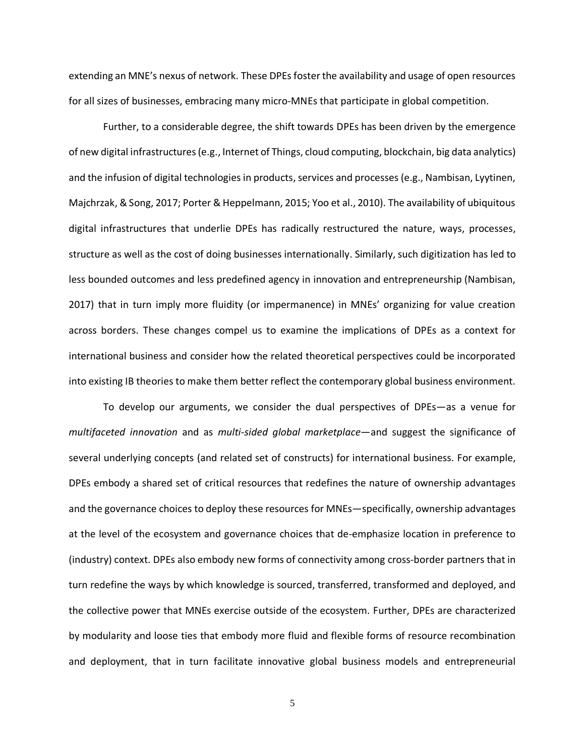extending an MNE's nexus of network. These DPEs foster the availability and usage of open resources for all sizes of businesses, embracing many micro-MNEs that participate in global competition.

Further, to a considerable degree, the shift towards DPEs has been driven by the emergence of new digital infrastructures (e.g., Internet of Things, cloud computing, blockchain, big data analytics) and the infusion of digital technologies in products, services and processes (e.g., Nambisan, Lyytinen, Majchrzak, & Song, 2017; Porter & Heppelmann, 2015; Yoo et al., 2010). The availability of ubiquitous digital infrastructures that underlie DPEs has radically restructured the nature, ways, processes, structure as well as the cost of doing businesses internationally. Similarly, such digitization has led to less bounded outcomes and less predefined agency in innovation and entrepreneurship (Nambisan, 2017) that in turn imply more fluidity (or impermanence) in MNEs' organizing for value creation across borders. These changes compel us to examine the implications of DPEs as a context for international business and consider how the related theoretical perspectives could be incorporated into existing IB theories to make them better reflect the contemporary global business environment.

To develop our arguments, we consider the dual perspectives of DPEs—as a venue for *multifaceted innovation* and as *multi-sided global marketplace*—and suggest the significance of several underlying concepts (and related set of constructs) for international business. For example, DPEs embody a shared set of critical resources that redefines the nature of ownership advantages and the governance choices to deploy these resources for MNEs—specifically, ownership advantages at the level of the ecosystem and governance choices that de-emphasize location in preference to (industry) context. DPEs also embody new forms of connectivity among cross-border partners that in turn redefine the ways by which knowledge is sourced, transferred, transformed and deployed, and the collective power that MNEs exercise outside of the ecosystem. Further, DPEs are characterized by modularity and loose ties that embody more fluid and flexible forms of resource recombination and deployment, that in turn facilitate innovative global business models and entrepreneurial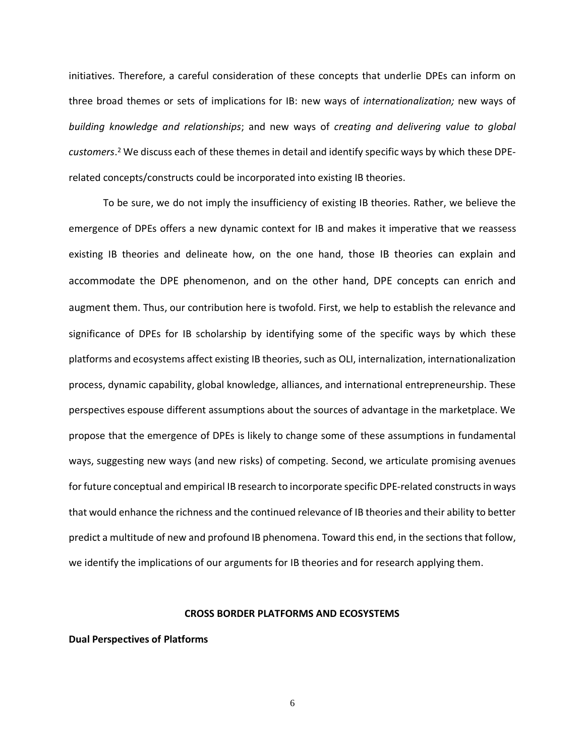initiatives. Therefore, a careful consideration of these concepts that underlie DPEs can inform on three broad themes or sets of implications for IB: new ways of *internationalization;* new ways of *building knowledge and relationships*; and new ways of *creating and delivering value to global customers*. <sup>2</sup> We discuss each of these themes in detail and identify specific ways by which these DPErelated concepts/constructs could be incorporated into existing IB theories.

To be sure, we do not imply the insufficiency of existing IB theories. Rather, we believe the emergence of DPEs offers a new dynamic context for IB and makes it imperative that we reassess existing IB theories and delineate how, on the one hand, those IB theories can explain and accommodate the DPE phenomenon, and on the other hand, DPE concepts can enrich and augment them. Thus, our contribution here is twofold. First, we help to establish the relevance and significance of DPEs for IB scholarship by identifying some of the specific ways by which these platforms and ecosystems affect existing IB theories, such as OLI, internalization, internationalization process, dynamic capability, global knowledge, alliances, and international entrepreneurship. These perspectives espouse different assumptions about the sources of advantage in the marketplace. We propose that the emergence of DPEs is likely to change some of these assumptions in fundamental ways, suggesting new ways (and new risks) of competing. Second, we articulate promising avenues for future conceptual and empirical IB research to incorporate specific DPE-related constructs in ways that would enhance the richness and the continued relevance of IB theories and their ability to better predict a multitude of new and profound IB phenomena. Toward this end, in the sections that follow, we identify the implications of our arguments for IB theories and for research applying them.

## **CROSS BORDER PLATFORMS AND ECOSYSTEMS**

**Dual Perspectives of Platforms**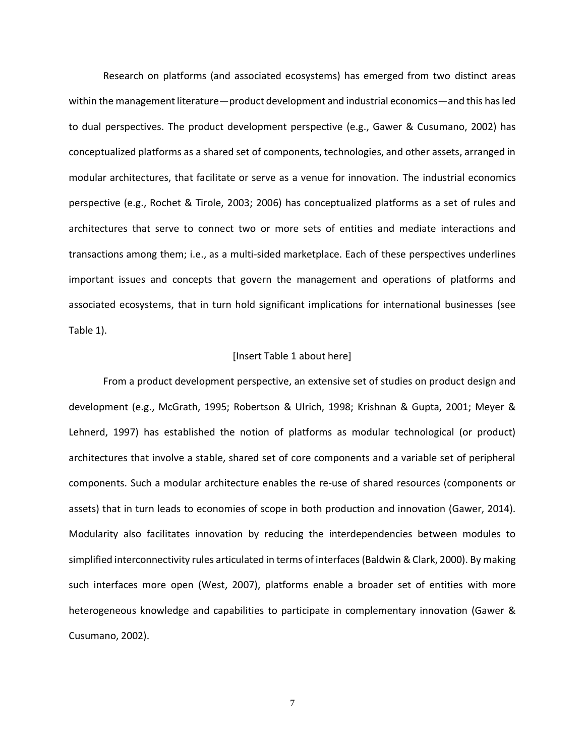Research on platforms (and associated ecosystems) has emerged from two distinct areas within the management literature—product development and industrial economics—and this has led to dual perspectives. The product development perspective (e.g., Gawer & Cusumano, 2002) has conceptualized platforms as a shared set of components, technologies, and other assets, arranged in modular architectures, that facilitate or serve as a venue for innovation. The industrial economics perspective (e.g., Rochet & Tirole, 2003; 2006) has conceptualized platforms as a set of rules and architectures that serve to connect two or more sets of entities and mediate interactions and transactions among them; i.e., as a multi-sided marketplace. Each of these perspectives underlines important issues and concepts that govern the management and operations of platforms and associated ecosystems, that in turn hold significant implications for international businesses (see Table 1).

#### [Insert Table 1 about here]

From a product development perspective, an extensive set of studies on product design and development (e.g., McGrath, 1995; Robertson & Ulrich, 1998; Krishnan & Gupta, 2001; Meyer & Lehnerd, 1997) has established the notion of platforms as modular technological (or product) architectures that involve a stable, shared set of core components and a variable set of peripheral components. Such a modular architecture enables the re-use of shared resources (components or assets) that in turn leads to economies of scope in both production and innovation (Gawer, 2014). Modularity also facilitates innovation by reducing the interdependencies between modules to simplified interconnectivity rules articulated in terms of interfaces(Baldwin & Clark, 2000). By making such interfaces more open (West, 2007), platforms enable a broader set of entities with more heterogeneous knowledge and capabilities to participate in complementary innovation (Gawer & Cusumano, 2002).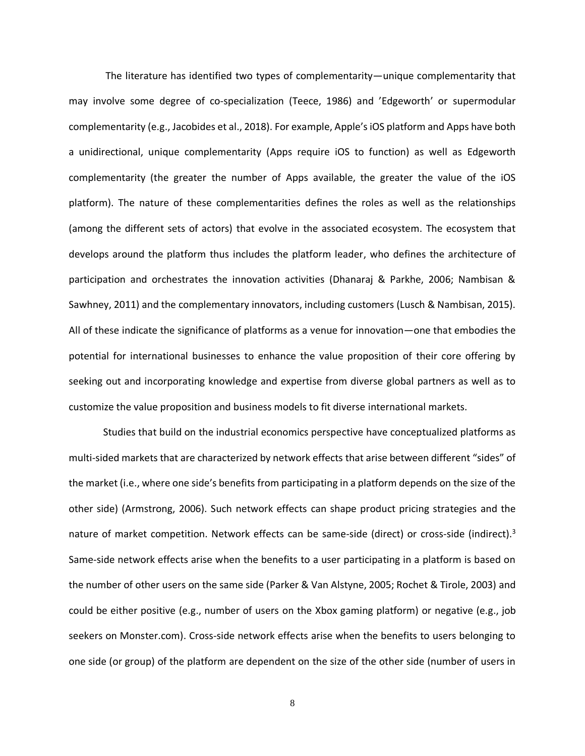The literature has identified two types of complementarity—unique complementarity that may involve some degree of co-specialization (Teece, 1986) and 'Edgeworth' or supermodular complementarity (e.g., Jacobides et al., 2018). For example, Apple's iOS platform and Apps have both a unidirectional, unique complementarity (Apps require iOS to function) as well as Edgeworth complementarity (the greater the number of Apps available, the greater the value of the iOS platform). The nature of these complementarities defines the roles as well as the relationships (among the different sets of actors) that evolve in the associated ecosystem. The ecosystem that develops around the platform thus includes the platform leader, who defines the architecture of participation and orchestrates the innovation activities (Dhanaraj & Parkhe, 2006; Nambisan & Sawhney, 2011) and the complementary innovators, including customers (Lusch & Nambisan, 2015). All of these indicate the significance of platforms as a venue for innovation—one that embodies the potential for international businesses to enhance the value proposition of their core offering by seeking out and incorporating knowledge and expertise from diverse global partners as well as to customize the value proposition and business models to fit diverse international markets.

Studies that build on the industrial economics perspective have conceptualized platforms as multi-sided markets that are characterized by network effects that arise between different "sides" of the market (i.e., where one side's benefits from participating in a platform depends on the size of the other side) (Armstrong, 2006). Such network effects can shape product pricing strategies and the nature of market competition. Network effects can be same-side (direct) or cross-side (indirect).<sup>3</sup> Same-side network effects arise when the benefits to a user participating in a platform is based on the number of other users on the same side (Parker & Van Alstyne, 2005; Rochet & Tirole, 2003) and could be either positive (e.g., number of users on the Xbox gaming platform) or negative (e.g., job seekers on Monster.com). Cross-side network effects arise when the benefits to users belonging to one side (or group) of the platform are dependent on the size of the other side (number of users in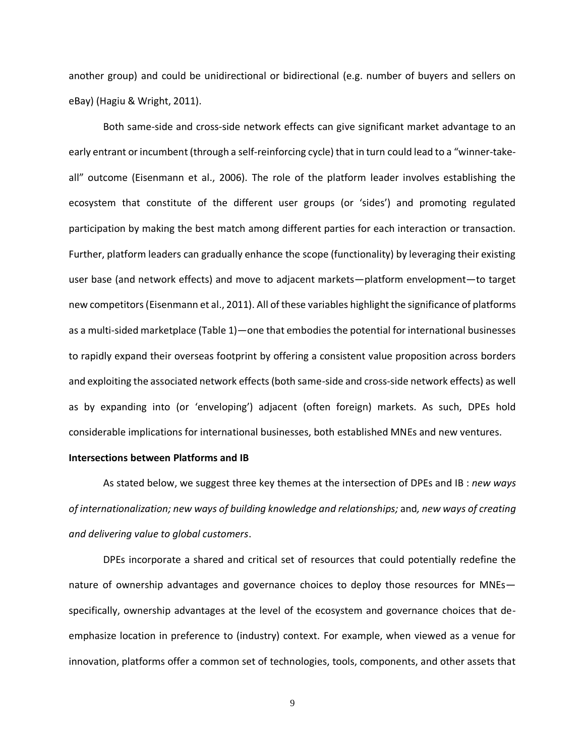another group) and could be unidirectional or bidirectional (e.g. number of buyers and sellers on eBay) (Hagiu & Wright, 2011).

Both same-side and cross-side network effects can give significant market advantage to an early entrant or incumbent (through a self-reinforcing cycle) that in turn could lead to a "winner-takeall" outcome (Eisenmann et al., 2006). The role of the platform leader involves establishing the ecosystem that constitute of the different user groups (or 'sides') and promoting regulated participation by making the best match among different parties for each interaction or transaction. Further, platform leaders can gradually enhance the scope (functionality) by leveraging their existing user base (and network effects) and move to adjacent markets—platform envelopment—to target new competitors (Eisenmann et al., 2011). All of these variables highlight the significance of platforms as a multi-sided marketplace (Table 1)—one that embodies the potential for international businesses to rapidly expand their overseas footprint by offering a consistent value proposition across borders and exploiting the associated network effects (both same-side and cross-side network effects) as well as by expanding into (or 'enveloping') adjacent (often foreign) markets. As such, DPEs hold considerable implications for international businesses, both established MNEs and new ventures.

### **Intersections between Platforms and IB**

As stated below, we suggest three key themes at the intersection of DPEs and IB : *new ways of internationalization; new ways of building knowledge and relationships;* and*, new ways of creating and delivering value to global customers*.

DPEs incorporate a shared and critical set of resources that could potentially redefine the nature of ownership advantages and governance choices to deploy those resources for MNEs specifically, ownership advantages at the level of the ecosystem and governance choices that deemphasize location in preference to (industry) context. For example, when viewed as a venue for innovation, platforms offer a common set of technologies, tools, components, and other assets that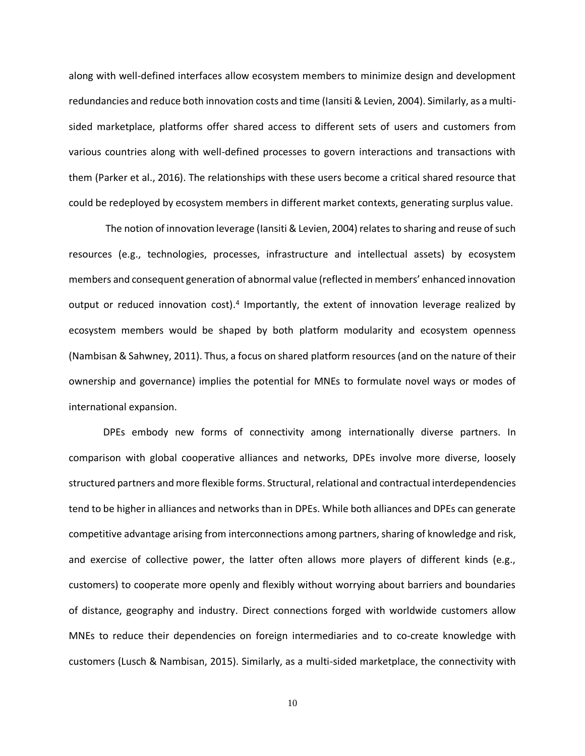along with well-defined interfaces allow ecosystem members to minimize design and development redundancies and reduce both innovation costs and time (Iansiti & Levien, 2004). Similarly, as a multisided marketplace, platforms offer shared access to different sets of users and customers from various countries along with well-defined processes to govern interactions and transactions with them (Parker et al., 2016). The relationships with these users become a critical shared resource that could be redeployed by ecosystem members in different market contexts, generating surplus value.

The notion of innovation leverage (Iansiti & Levien, 2004) relates to sharing and reuse of such resources (e.g., technologies, processes, infrastructure and intellectual assets) by ecosystem members and consequent generation of abnormal value (reflected in members' enhanced innovation output or reduced innovation cost).<sup>4</sup> Importantly, the extent of innovation leverage realized by ecosystem members would be shaped by both platform modularity and ecosystem openness (Nambisan & Sahwney, 2011). Thus, a focus on shared platform resources (and on the nature of their ownership and governance) implies the potential for MNEs to formulate novel ways or modes of international expansion.

DPEs embody new forms of connectivity among internationally diverse partners. In comparison with global cooperative alliances and networks, DPEs involve more diverse, loosely structured partners and more flexible forms. Structural, relational and contractual interdependencies tend to be higher in alliances and networks than in DPEs. While both alliances and DPEs can generate competitive advantage arising from interconnections among partners, sharing of knowledge and risk, and exercise of collective power, the latter often allows more players of different kinds (e.g., customers) to cooperate more openly and flexibly without worrying about barriers and boundaries of distance, geography and industry. Direct connections forged with worldwide customers allow MNEs to reduce their dependencies on foreign intermediaries and to co-create knowledge with customers (Lusch & Nambisan, 2015). Similarly, as a multi-sided marketplace, the connectivity with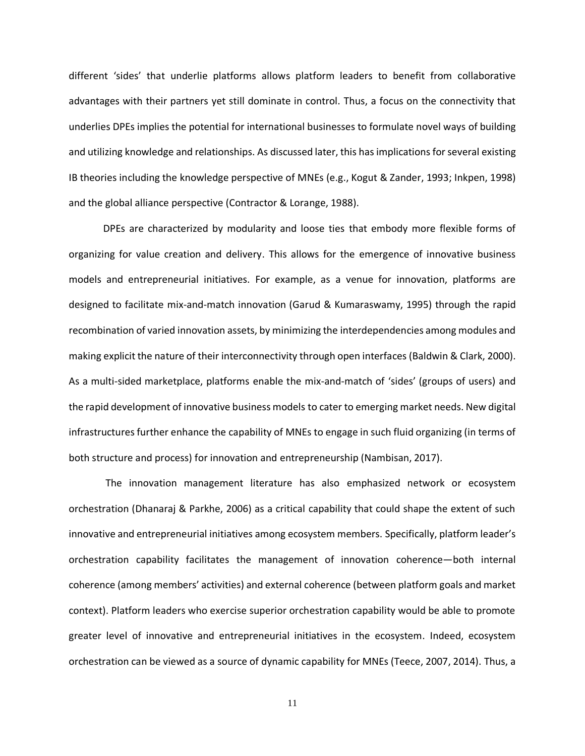different 'sides' that underlie platforms allows platform leaders to benefit from collaborative advantages with their partners yet still dominate in control. Thus, a focus on the connectivity that underlies DPEs implies the potential for international businesses to formulate novel ways of building and utilizing knowledge and relationships. As discussed later, this hasimplications for several existing IB theories including the knowledge perspective of MNEs (e.g., Kogut & Zander, 1993; Inkpen, 1998) and the global alliance perspective (Contractor & Lorange, 1988).

DPEs are characterized by modularity and loose ties that embody more flexible forms of organizing for value creation and delivery. This allows for the emergence of innovative business models and entrepreneurial initiatives. For example, as a venue for innovation, platforms are designed to facilitate mix-and-match innovation (Garud & Kumaraswamy, 1995) through the rapid recombination of varied innovation assets, by minimizing the interdependencies among modules and making explicit the nature of their interconnectivity through open interfaces (Baldwin & Clark, 2000). As a multi-sided marketplace, platforms enable the mix-and-match of 'sides' (groups of users) and the rapid development of innovative business models to cater to emerging market needs. New digital infrastructures further enhance the capability of MNEs to engage in such fluid organizing (in terms of both structure and process) for innovation and entrepreneurship (Nambisan, 2017).

The innovation management literature has also emphasized network or ecosystem orchestration (Dhanaraj & Parkhe, 2006) as a critical capability that could shape the extent of such innovative and entrepreneurial initiatives among ecosystem members. Specifically, platform leader's orchestration capability facilitates the management of innovation coherence—both internal coherence (among members' activities) and external coherence (between platform goals and market context). Platform leaders who exercise superior orchestration capability would be able to promote greater level of innovative and entrepreneurial initiatives in the ecosystem. Indeed, ecosystem orchestration can be viewed as a source of dynamic capability for MNEs (Teece, 2007, 2014). Thus, a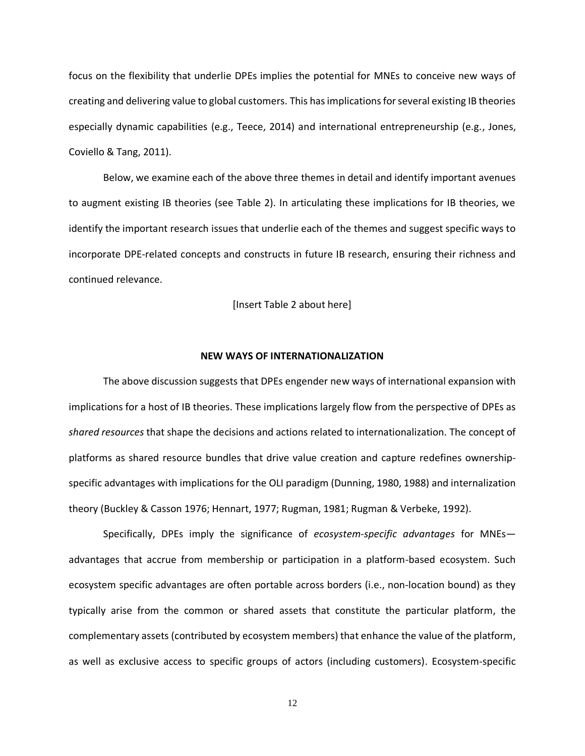focus on the flexibility that underlie DPEs implies the potential for MNEs to conceive new ways of creating and delivering value to global customers. This hasimplications for several existing IB theories especially dynamic capabilities (e.g., Teece, 2014) and international entrepreneurship (e.g., Jones, Coviello & Tang, 2011).

Below, we examine each of the above three themes in detail and identify important avenues to augment existing IB theories (see Table 2). In articulating these implications for IB theories, we identify the important research issues that underlie each of the themes and suggest specific ways to incorporate DPE-related concepts and constructs in future IB research, ensuring their richness and continued relevance.

[Insert Table 2 about here]

#### **NEW WAYS OF INTERNATIONALIZATION**

The above discussion suggests that DPEs engender new ways of international expansion with implications for a host of IB theories. These implications largely flow from the perspective of DPEs as *shared resources* that shape the decisions and actions related to internationalization. The concept of platforms as shared resource bundles that drive value creation and capture redefines ownershipspecific advantages with implications for the OLI paradigm (Dunning, 1980, 1988) and internalization theory (Buckley & Casson 1976; Hennart, 1977; Rugman, 1981; Rugman & Verbeke, 1992).

Specifically, DPEs imply the significance of *ecosystem-specific advantages* for MNEs advantages that accrue from membership or participation in a platform-based ecosystem. Such ecosystem specific advantages are often portable across borders (i.e., non-location bound) as they typically arise from the common or shared assets that constitute the particular platform, the complementary assets (contributed by ecosystem members) that enhance the value of the platform, as well as exclusive access to specific groups of actors (including customers). Ecosystem-specific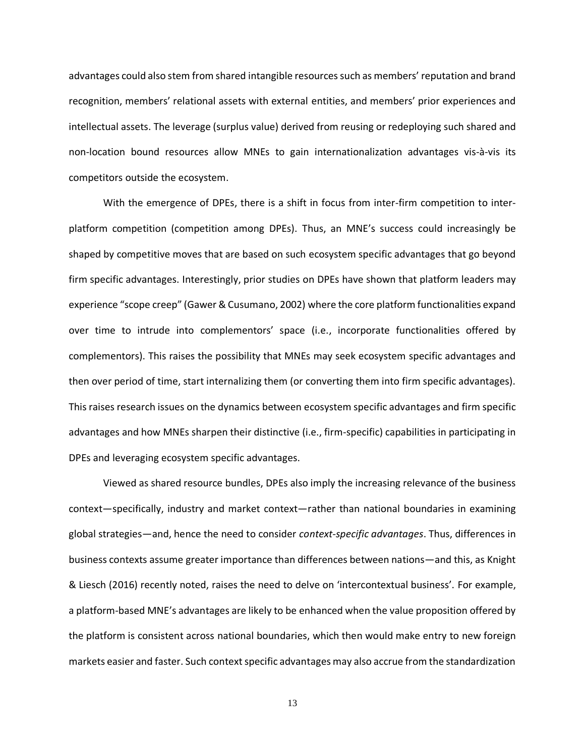advantages could also stem from shared intangible resourcessuch as members' reputation and brand recognition, members' relational assets with external entities, and members' prior experiences and intellectual assets. The leverage (surplus value) derived from reusing or redeploying such shared and non-location bound resources allow MNEs to gain internationalization advantages vis-à-vis its competitors outside the ecosystem.

With the emergence of DPEs, there is a shift in focus from inter-firm competition to interplatform competition (competition among DPEs). Thus, an MNE's success could increasingly be shaped by competitive moves that are based on such ecosystem specific advantages that go beyond firm specific advantages. Interestingly, prior studies on DPEs have shown that platform leaders may experience "scope creep" (Gawer & Cusumano, 2002) where the core platform functionalities expand over time to intrude into complementors' space (i.e., incorporate functionalities offered by complementors). This raises the possibility that MNEs may seek ecosystem specific advantages and then over period of time, start internalizing them (or converting them into firm specific advantages). This raises research issues on the dynamics between ecosystem specific advantages and firm specific advantages and how MNEs sharpen their distinctive (i.e., firm-specific) capabilities in participating in DPEs and leveraging ecosystem specific advantages.

Viewed as shared resource bundles, DPEs also imply the increasing relevance of the business context—specifically, industry and market context—rather than national boundaries in examining global strategies—and, hence the need to consider *context-specific advantages*. Thus, differences in business contexts assume greater importance than differences between nations—and this, as Knight & Liesch (2016) recently noted, raises the need to delve on 'intercontextual business'. For example, a platform-based MNE's advantages are likely to be enhanced when the value proposition offered by the platform is consistent across national boundaries, which then would make entry to new foreign markets easier and faster. Such context specific advantages may also accrue from the standardization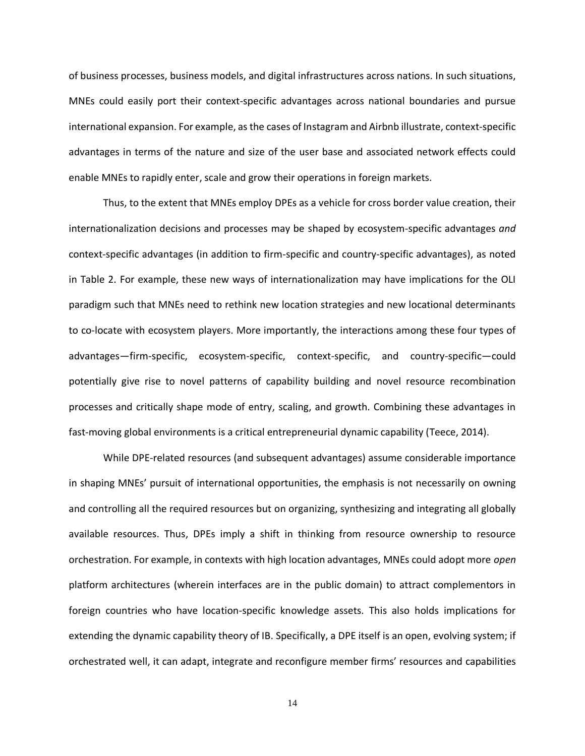of business processes, business models, and digital infrastructures across nations. In such situations, MNEs could easily port their context-specific advantages across national boundaries and pursue international expansion. For example, as the cases of Instagram and Airbnb illustrate, context-specific advantages in terms of the nature and size of the user base and associated network effects could enable MNEs to rapidly enter, scale and grow their operations in foreign markets.

Thus, to the extent that MNEs employ DPEs as a vehicle for cross border value creation, their internationalization decisions and processes may be shaped by ecosystem-specific advantages *and* context-specific advantages (in addition to firm-specific and country-specific advantages), as noted in Table 2. For example, these new ways of internationalization may have implications for the OLI paradigm such that MNEs need to rethink new location strategies and new locational determinants to co-locate with ecosystem players. More importantly, the interactions among these four types of advantages—firm-specific, ecosystem-specific, context-specific, and country-specific—could potentially give rise to novel patterns of capability building and novel resource recombination processes and critically shape mode of entry, scaling, and growth. Combining these advantages in fast-moving global environments is a critical entrepreneurial dynamic capability (Teece, 2014).

While DPE-related resources (and subsequent advantages) assume considerable importance in shaping MNEs' pursuit of international opportunities, the emphasis is not necessarily on owning and controlling all the required resources but on organizing, synthesizing and integrating all globally available resources. Thus, DPEs imply a shift in thinking from resource ownership to resource orchestration. For example, in contexts with high location advantages, MNEs could adopt more *open* platform architectures (wherein interfaces are in the public domain) to attract complementors in foreign countries who have location-specific knowledge assets. This also holds implications for extending the dynamic capability theory of IB. Specifically, a DPE itself is an open, evolving system; if orchestrated well, it can adapt, integrate and reconfigure member firms' resources and capabilities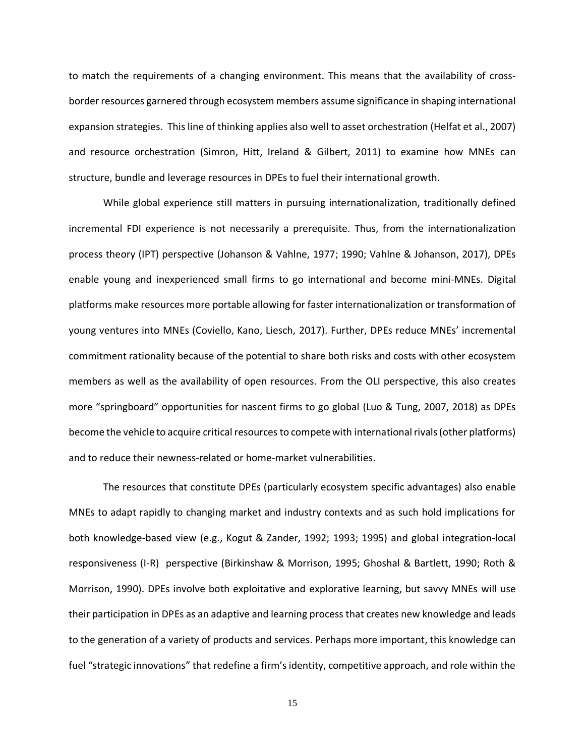to match the requirements of a changing environment. This means that the availability of crossborder resources garnered through ecosystem members assume significance in shaping international expansion strategies. This line of thinking applies also well to asset orchestration (Helfat et al., 2007) and resource orchestration (Simron, Hitt, Ireland & Gilbert, 2011) to examine how MNEs can structure, bundle and leverage resources in DPEs to fuel their international growth.

While global experience still matters in pursuing internationalization, traditionally defined incremental FDI experience is not necessarily a prerequisite. Thus, from the internationalization process theory (IPT) perspective (Johanson & Vahlne, 1977; 1990; Vahlne & Johanson, 2017), DPEs enable young and inexperienced small firms to go international and become mini-MNEs. Digital platforms make resources more portable allowing for faster internationalization or transformation of young ventures into MNEs (Coviello, Kano, Liesch, 2017). Further, DPEs reduce MNEs' incremental commitment rationality because of the potential to share both risks and costs with other ecosystem members as well as the availability of open resources. From the OLI perspective, this also creates more "springboard" opportunities for nascent firms to go global (Luo & Tung, 2007, 2018) as DPEs become the vehicle to acquire critical resources to compete with international rivals (other platforms) and to reduce their newness-related or home-market vulnerabilities.

The resources that constitute DPEs (particularly ecosystem specific advantages) also enable MNEs to adapt rapidly to changing market and industry contexts and as such hold implications for both knowledge-based view (e.g., Kogut & Zander, 1992; 1993; 1995) and global integration-local responsiveness (I-R) perspective (Birkinshaw & Morrison, 1995; Ghoshal & Bartlett, 1990; Roth & Morrison, 1990). DPEs involve both exploitative and explorative learning, but savvy MNEs will use their participation in DPEs as an adaptive and learning process that creates new knowledge and leads to the generation of a variety of products and services. Perhaps more important, this knowledge can fuel "strategic innovations" that redefine a firm's identity, competitive approach, and role within the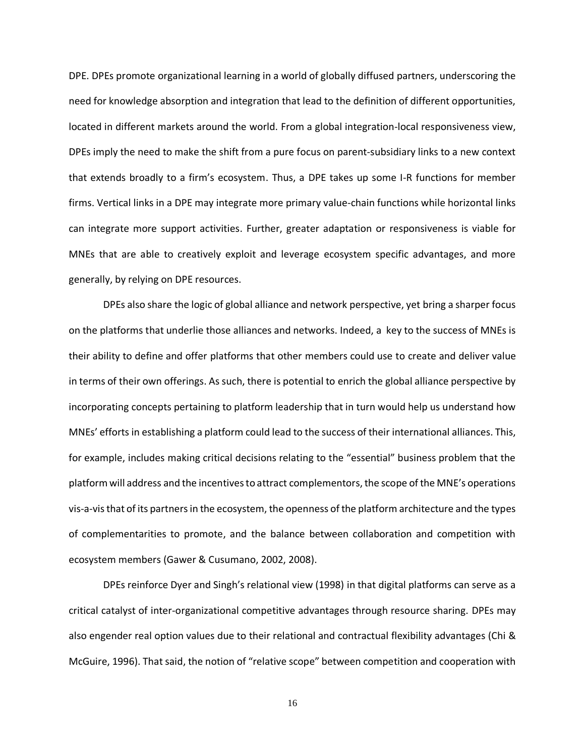DPE. DPEs promote organizational learning in a world of globally diffused partners, underscoring the need for knowledge absorption and integration that lead to the definition of different opportunities, located in different markets around the world. From a global integration-local responsiveness view, DPEs imply the need to make the shift from a pure focus on parent-subsidiary links to a new context that extends broadly to a firm's ecosystem. Thus, a DPE takes up some I-R functions for member firms. Vertical links in a DPE may integrate more primary value-chain functions while horizontal links can integrate more support activities. Further, greater adaptation or responsiveness is viable for MNEs that are able to creatively exploit and leverage ecosystem specific advantages, and more generally, by relying on DPE resources.

DPEs also share the logic of global alliance and network perspective, yet bring a sharper focus on the platforms that underlie those alliances and networks. Indeed, a key to the success of MNEs is their ability to define and offer platforms that other members could use to create and deliver value in terms of their own offerings. As such, there is potential to enrich the global alliance perspective by incorporating concepts pertaining to platform leadership that in turn would help us understand how MNEs' efforts in establishing a platform could lead to the success of their international alliances. This, for example, includes making critical decisions relating to the "essential" business problem that the platform will address and the incentives to attract complementors, the scope of the MNE's operations vis-a-vis that of its partners in the ecosystem, the openness of the platform architecture and the types of complementarities to promote, and the balance between collaboration and competition with ecosystem members (Gawer & Cusumano, 2002, 2008).

DPEs reinforce Dyer and Singh's relational view (1998) in that digital platforms can serve as a critical catalyst of inter-organizational competitive advantages through resource sharing. DPEs may also engender real option values due to their relational and contractual flexibility advantages (Chi & McGuire, 1996). That said, the notion of "relative scope" between competition and cooperation with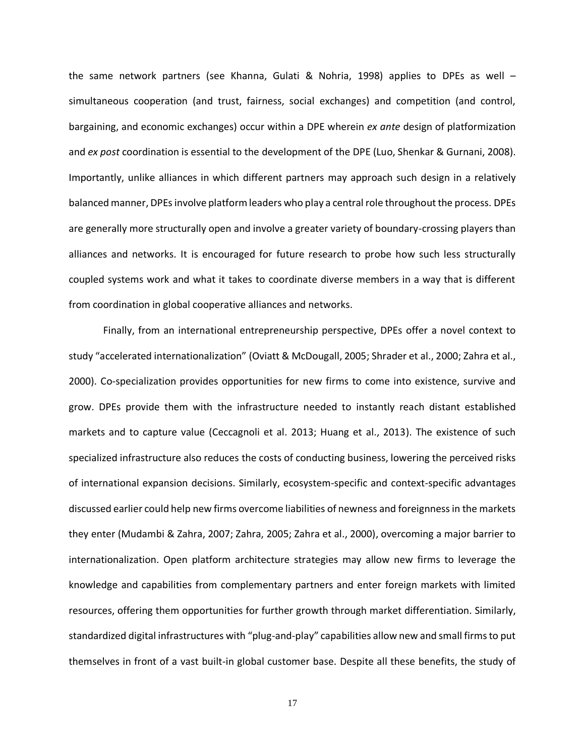the same network partners (see Khanna, Gulati & Nohria, 1998) applies to DPEs as well – simultaneous cooperation (and trust, fairness, social exchanges) and competition (and control, bargaining, and economic exchanges) occur within a DPE wherein *ex ante* design of platformization and *ex post* coordination is essential to the development of the DPE (Luo, Shenkar & Gurnani, 2008). Importantly, unlike alliances in which different partners may approach such design in a relatively balanced manner, DPEs involve platform leaders who play a central role throughout the process. DPEs are generally more structurally open and involve a greater variety of boundary-crossing players than alliances and networks. It is encouraged for future research to probe how such less structurally coupled systems work and what it takes to coordinate diverse members in a way that is different from coordination in global cooperative alliances and networks.

Finally, from an international entrepreneurship perspective, DPEs offer a novel context to study "accelerated internationalization" (Oviatt & McDougall, 2005; Shrader et al., 2000; Zahra et al., 2000). Co-specialization provides opportunities for new firms to come into existence, survive and grow. DPEs provide them with the infrastructure needed to instantly reach distant established markets and to capture value (Ceccagnoli et al. 2013; Huang et al., 2013). The existence of such specialized infrastructure also reduces the costs of conducting business, lowering the perceived risks of international expansion decisions. Similarly, ecosystem-specific and context-specific advantages discussed earlier could help new firms overcome liabilities of newness and foreignness in the markets they enter (Mudambi & Zahra, 2007; Zahra, 2005; Zahra et al., 2000), overcoming a major barrier to internationalization. Open platform architecture strategies may allow new firms to leverage the knowledge and capabilities from complementary partners and enter foreign markets with limited resources, offering them opportunities for further growth through market differentiation. Similarly, standardized digital infrastructures with "plug-and-play" capabilities allow new and small firms to put themselves in front of a vast built-in global customer base. Despite all these benefits, the study of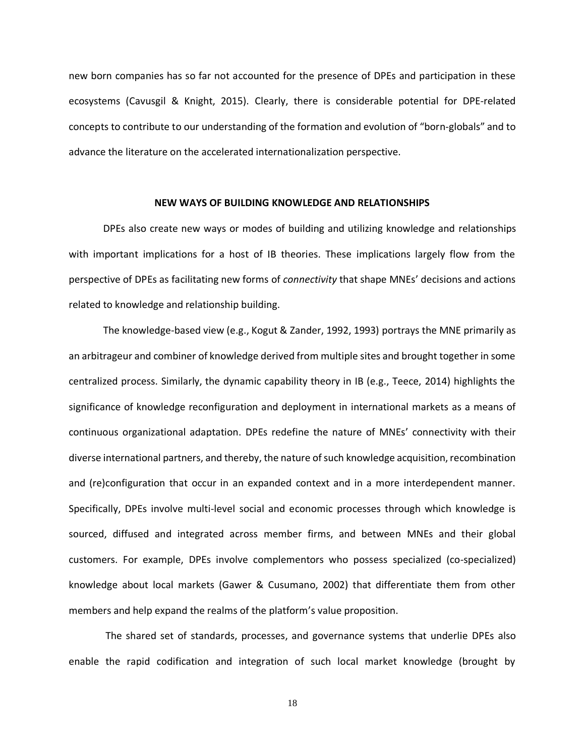new born companies has so far not accounted for the presence of DPEs and participation in these ecosystems (Cavusgil & Knight, 2015). Clearly, there is considerable potential for DPE-related concepts to contribute to our understanding of the formation and evolution of "born-globals" and to advance the literature on the accelerated internationalization perspective.

#### **NEW WAYS OF BUILDING KNOWLEDGE AND RELATIONSHIPS**

DPEs also create new ways or modes of building and utilizing knowledge and relationships with important implications for a host of IB theories. These implications largely flow from the perspective of DPEs as facilitating new forms of *connectivity* that shape MNEs' decisions and actions related to knowledge and relationship building.

The knowledge-based view (e.g., Kogut & Zander, 1992, 1993) portrays the MNE primarily as an arbitrageur and combiner of knowledge derived from multiple sites and brought together in some centralized process. Similarly, the dynamic capability theory in IB (e.g., Teece, 2014) highlights the significance of knowledge reconfiguration and deployment in international markets as a means of continuous organizational adaptation. DPEs redefine the nature of MNEs' connectivity with their diverse international partners, and thereby, the nature of such knowledge acquisition, recombination and (re)configuration that occur in an expanded context and in a more interdependent manner. Specifically, DPEs involve multi-level social and economic processes through which knowledge is sourced, diffused and integrated across member firms, and between MNEs and their global customers. For example, DPEs involve complementors who possess specialized (co-specialized) knowledge about local markets (Gawer & Cusumano, 2002) that differentiate them from other members and help expand the realms of the platform's value proposition.

The shared set of standards, processes, and governance systems that underlie DPEs also enable the rapid codification and integration of such local market knowledge (brought by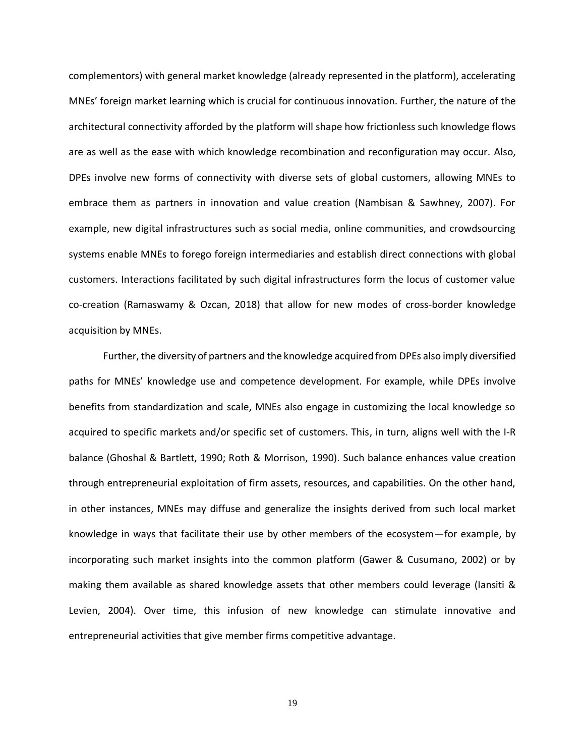complementors) with general market knowledge (already represented in the platform), accelerating MNEs' foreign market learning which is crucial for continuous innovation. Further, the nature of the architectural connectivity afforded by the platform will shape how frictionless such knowledge flows are as well as the ease with which knowledge recombination and reconfiguration may occur. Also, DPEs involve new forms of connectivity with diverse sets of global customers, allowing MNEs to embrace them as partners in innovation and value creation (Nambisan & Sawhney, 2007). For example, new digital infrastructures such as social media, online communities, and crowdsourcing systems enable MNEs to forego foreign intermediaries and establish direct connections with global customers. Interactions facilitated by such digital infrastructures form the locus of customer value co-creation (Ramaswamy & Ozcan, 2018) that allow for new modes of cross-border knowledge acquisition by MNEs.

Further, the diversity of partners and the knowledge acquired from DPEs also imply diversified paths for MNEs' knowledge use and competence development. For example, while DPEs involve benefits from standardization and scale, MNEs also engage in customizing the local knowledge so acquired to specific markets and/or specific set of customers. This, in turn, aligns well with the I-R balance (Ghoshal & Bartlett, 1990; Roth & Morrison, 1990). Such balance enhances value creation through entrepreneurial exploitation of firm assets, resources, and capabilities. On the other hand, in other instances, MNEs may diffuse and generalize the insights derived from such local market knowledge in ways that facilitate their use by other members of the ecosystem—for example, by incorporating such market insights into the common platform (Gawer & Cusumano, 2002) or by making them available as shared knowledge assets that other members could leverage (Iansiti & Levien, 2004). Over time, this infusion of new knowledge can stimulate innovative and entrepreneurial activities that give member firms competitive advantage.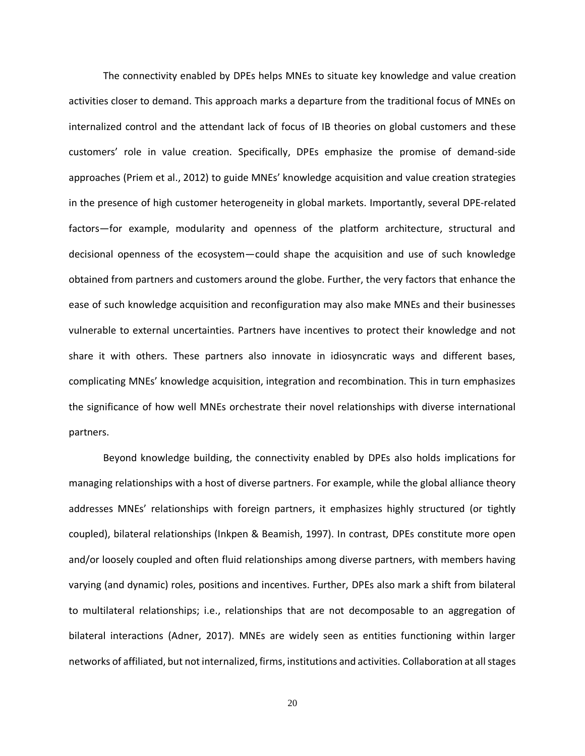The connectivity enabled by DPEs helps MNEs to situate key knowledge and value creation activities closer to demand. This approach marks a departure from the traditional focus of MNEs on internalized control and the attendant lack of focus of IB theories on global customers and these customers' role in value creation. Specifically, DPEs emphasize the promise of demand-side approaches (Priem et al., 2012) to guide MNEs' knowledge acquisition and value creation strategies in the presence of high customer heterogeneity in global markets. Importantly, several DPE-related factors—for example, modularity and openness of the platform architecture, structural and decisional openness of the ecosystem—could shape the acquisition and use of such knowledge obtained from partners and customers around the globe. Further, the very factors that enhance the ease of such knowledge acquisition and reconfiguration may also make MNEs and their businesses vulnerable to external uncertainties. Partners have incentives to protect their knowledge and not share it with others. These partners also innovate in idiosyncratic ways and different bases, complicating MNEs' knowledge acquisition, integration and recombination. This in turn emphasizes the significance of how well MNEs orchestrate their novel relationships with diverse international partners.

Beyond knowledge building, the connectivity enabled by DPEs also holds implications for managing relationships with a host of diverse partners. For example, while the global alliance theory addresses MNEs' relationships with foreign partners, it emphasizes highly structured (or tightly coupled), bilateral relationships (Inkpen & Beamish, 1997). In contrast, DPEs constitute more open and/or loosely coupled and often fluid relationships among diverse partners, with members having varying (and dynamic) roles, positions and incentives. Further, DPEs also mark a shift from bilateral to multilateral relationships; i.e., relationships that are not decomposable to an aggregation of bilateral interactions (Adner, 2017). MNEs are widely seen as entities functioning within larger networks of affiliated, but not internalized, firms, institutions and activities. Collaboration at all stages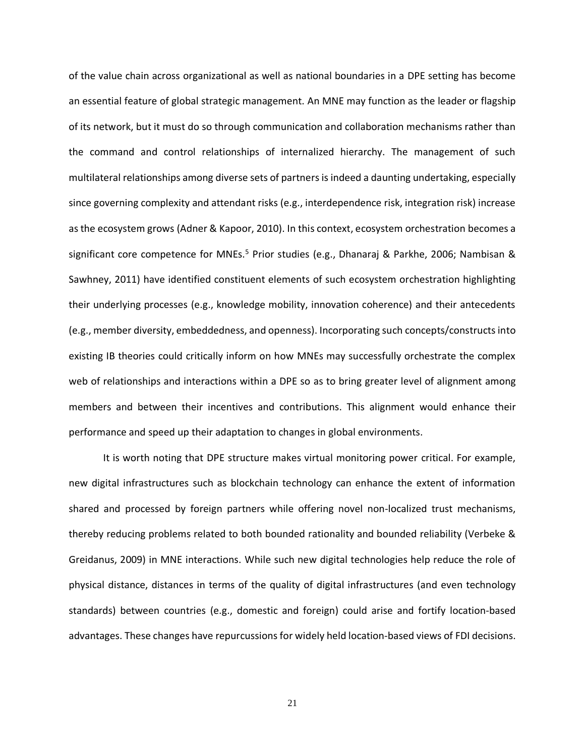of the value chain across organizational as well as national boundaries in a DPE setting has become an essential feature of global strategic management. An MNE may function as the leader or flagship of its network, but it must do so through communication and collaboration mechanisms rather than the command and control relationships of internalized hierarchy. The management of such multilateral relationships among diverse sets of partners is indeed a daunting undertaking, especially since governing complexity and attendant risks (e.g., interdependence risk, integration risk) increase as the ecosystem grows (Adner & Kapoor, 2010). In this context, ecosystem orchestration becomes a significant core competence for MNEs.<sup>5</sup> Prior studies (e.g., Dhanaraj & Parkhe, 2006; Nambisan & Sawhney, 2011) have identified constituent elements of such ecosystem orchestration highlighting their underlying processes (e.g., knowledge mobility, innovation coherence) and their antecedents (e.g., member diversity, embeddedness, and openness). Incorporating such concepts/constructs into existing IB theories could critically inform on how MNEs may successfully orchestrate the complex web of relationships and interactions within a DPE so as to bring greater level of alignment among members and between their incentives and contributions. This alignment would enhance their performance and speed up their adaptation to changes in global environments.

It is worth noting that DPE structure makes virtual monitoring power critical. For example, new digital infrastructures such as blockchain technology can enhance the extent of information shared and processed by foreign partners while offering novel non-localized trust mechanisms, thereby reducing problems related to both bounded rationality and bounded reliability (Verbeke & Greidanus, 2009) in MNE interactions. While such new digital technologies help reduce the role of physical distance, distances in terms of the quality of digital infrastructures (and even technology standards) between countries (e.g., domestic and foreign) could arise and fortify location-based advantages. These changes have repurcussions for widely held location-based views of FDI decisions.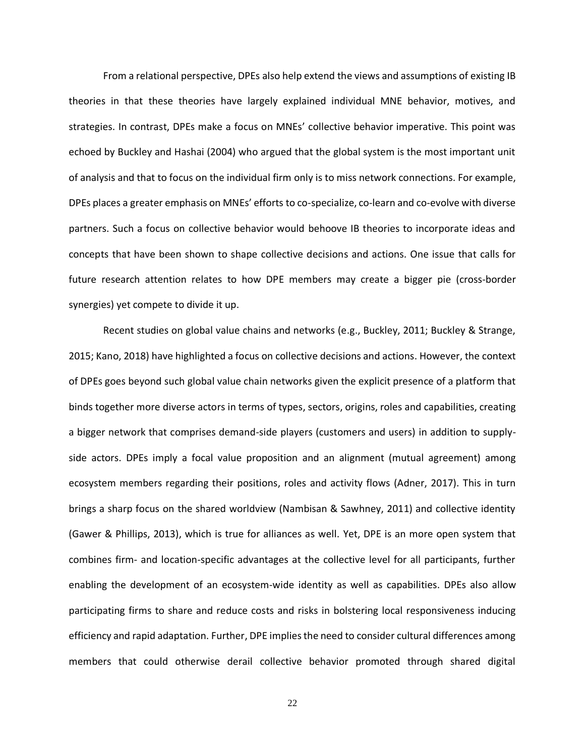From a relational perspective, DPEs also help extend the views and assumptions of existing IB theories in that these theories have largely explained individual MNE behavior, motives, and strategies. In contrast, DPEs make a focus on MNEs' collective behavior imperative. This point was echoed by Buckley and Hashai (2004) who argued that the global system is the most important unit of analysis and that to focus on the individual firm only is to miss network connections. For example, DPEs places a greater emphasis on MNEs' efforts to co-specialize, co-learn and co-evolve with diverse partners. Such a focus on collective behavior would behoove IB theories to incorporate ideas and concepts that have been shown to shape collective decisions and actions. One issue that calls for future research attention relates to how DPE members may create a bigger pie (cross-border synergies) yet compete to divide it up.

Recent studies on global value chains and networks (e.g., Buckley, 2011; Buckley & Strange, 2015; Kano, 2018) have highlighted a focus on collective decisions and actions. However, the context of DPEs goes beyond such global value chain networks given the explicit presence of a platform that binds together more diverse actors in terms of types, sectors, origins, roles and capabilities, creating a bigger network that comprises demand-side players (customers and users) in addition to supplyside actors. DPEs imply a focal value proposition and an alignment (mutual agreement) among ecosystem members regarding their positions, roles and activity flows (Adner, 2017). This in turn brings a sharp focus on the shared worldview (Nambisan & Sawhney, 2011) and collective identity (Gawer & Phillips, 2013), which is true for alliances as well. Yet, DPE is an more open system that combines firm- and location-specific advantages at the collective level for all participants, further enabling the development of an ecosystem-wide identity as well as capabilities. DPEs also allow participating firms to share and reduce costs and risks in bolstering local responsiveness inducing efficiency and rapid adaptation. Further, DPE implies the need to consider cultural differences among members that could otherwise derail collective behavior promoted through shared digital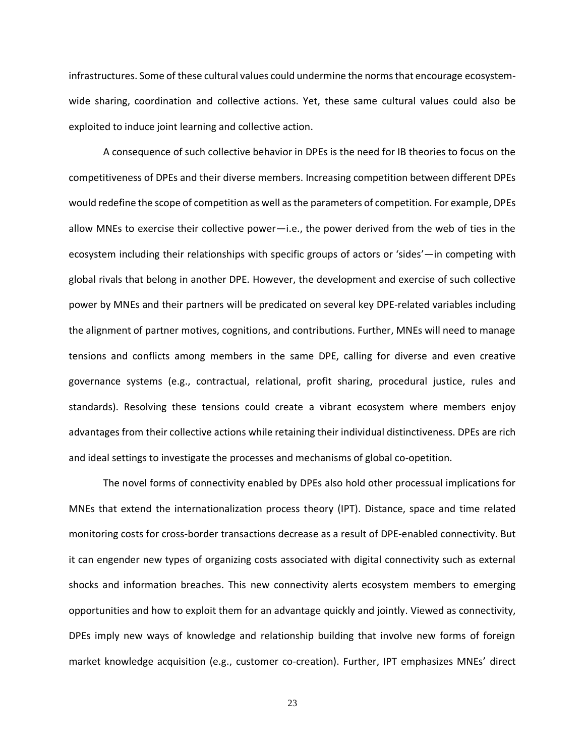infrastructures. Some of these cultural values could undermine the norms that encourage ecosystemwide sharing, coordination and collective actions. Yet, these same cultural values could also be exploited to induce joint learning and collective action.

A consequence of such collective behavior in DPEs is the need for IB theories to focus on the competitiveness of DPEs and their diverse members. Increasing competition between different DPEs would redefine the scope of competition as well asthe parameters of competition. For example, DPEs allow MNEs to exercise their collective power—i.e., the power derived from the web of ties in the ecosystem including their relationships with specific groups of actors or 'sides'—in competing with global rivals that belong in another DPE. However, the development and exercise of such collective power by MNEs and their partners will be predicated on several key DPE-related variables including the alignment of partner motives, cognitions, and contributions. Further, MNEs will need to manage tensions and conflicts among members in the same DPE, calling for diverse and even creative governance systems (e.g., contractual, relational, profit sharing, procedural justice, rules and standards). Resolving these tensions could create a vibrant ecosystem where members enjoy advantages from their collective actions while retaining their individual distinctiveness. DPEs are rich and ideal settings to investigate the processes and mechanisms of global co-opetition.

The novel forms of connectivity enabled by DPEs also hold other processual implications for MNEs that extend the internationalization process theory (IPT). Distance, space and time related monitoring costs for cross-border transactions decrease as a result of DPE-enabled connectivity. But it can engender new types of organizing costs associated with digital connectivity such as external shocks and information breaches. This new connectivity alerts ecosystem members to emerging opportunities and how to exploit them for an advantage quickly and jointly. Viewed as connectivity, DPEs imply new ways of knowledge and relationship building that involve new forms of foreign market knowledge acquisition (e.g., customer co-creation). Further, IPT emphasizes MNEs' direct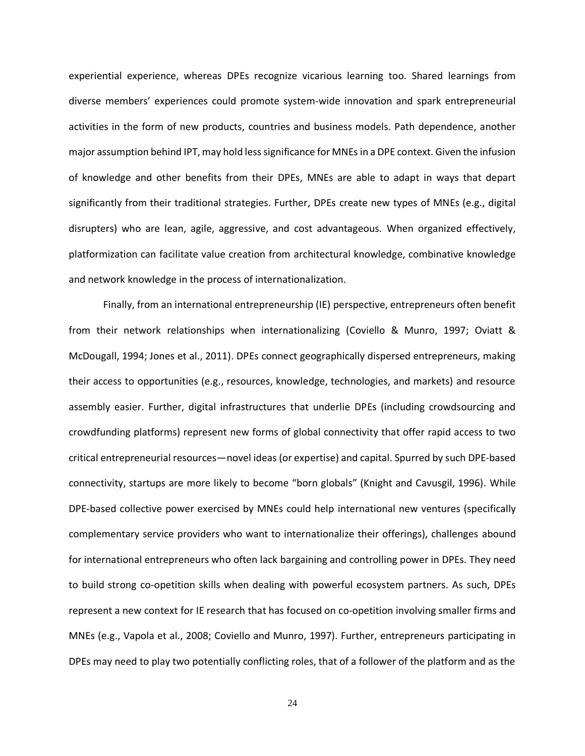experiential experience, whereas DPEs recognize vicarious learning too. Shared learnings from diverse members' experiences could promote system-wide innovation and spark entrepreneurial activities in the form of new products, countries and business models. Path dependence, another major assumption behind IPT, may hold less significance for MNEs in a DPE context. Given the infusion of knowledge and other benefits from their DPEs, MNEs are able to adapt in ways that depart significantly from their traditional strategies. Further, DPEs create new types of MNEs (e.g., digital disrupters) who are lean, agile, aggressive, and cost advantageous. When organized effectively, platformization can facilitate value creation from architectural knowledge, combinative knowledge and network knowledge in the process of internationalization.

Finally, from an international entrepreneurship (IE) perspective, entrepreneurs often benefit from their network relationships when internationalizing (Coviello & Munro, 1997; Oviatt & McDougall, 1994; Jones et al., 2011). DPEs connect geographically dispersed entrepreneurs, making their access to opportunities (e.g., resources, knowledge, technologies, and markets) and resource assembly easier. Further, digital infrastructures that underlie DPEs (including crowdsourcing and crowdfunding platforms) represent new forms of global connectivity that offer rapid access to two critical entrepreneurial resources—novel ideas (or expertise) and capital. Spurred by such DPE-based connectivity, startups are more likely to become "born globals" (Knight and Cavusgil, 1996). While DPE-based collective power exercised by MNEs could help international new ventures (specifically complementary service providers who want to internationalize their offerings), challenges abound for international entrepreneurs who often lack bargaining and controlling power in DPEs. They need to build strong co-opetition skills when dealing with powerful ecosystem partners. As such, DPEs represent a new context for IE research that has focused on co-opetition involving smaller firms and MNEs (e.g., Vapola et al., 2008; Coviello and Munro, 1997). Further, entrepreneurs participating in DPEs may need to play two potentially conflicting roles, that of a follower of the platform and as the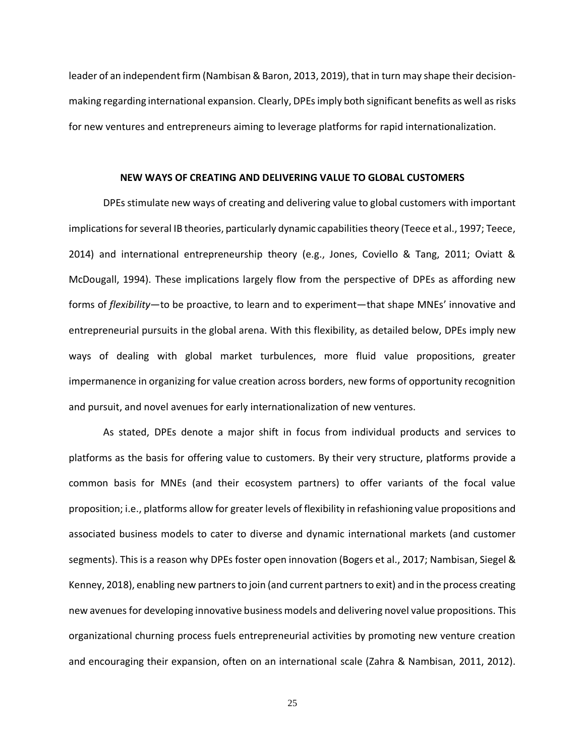leader of an independent firm (Nambisan & Baron, 2013, 2019), that in turn may shape their decisionmaking regarding international expansion. Clearly, DPEs imply both significant benefits as well as risks for new ventures and entrepreneurs aiming to leverage platforms for rapid internationalization.

#### **NEW WAYS OF CREATING AND DELIVERING VALUE TO GLOBAL CUSTOMERS**

DPEs stimulate new ways of creating and delivering value to global customers with important implications for several IB theories, particularly dynamic capabilities theory (Teece et al., 1997; Teece, 2014) and international entrepreneurship theory (e.g., Jones, Coviello & Tang, 2011; Oviatt & McDougall, 1994). These implications largely flow from the perspective of DPEs as affording new forms of *flexibility*—to be proactive, to learn and to experiment—that shape MNEs' innovative and entrepreneurial pursuits in the global arena. With this flexibility, as detailed below, DPEs imply new ways of dealing with global market turbulences, more fluid value propositions, greater impermanence in organizing for value creation across borders, new forms of opportunity recognition and pursuit, and novel avenues for early internationalization of new ventures.

As stated, DPEs denote a major shift in focus from individual products and services to platforms as the basis for offering value to customers. By their very structure, platforms provide a common basis for MNEs (and their ecosystem partners) to offer variants of the focal value proposition; i.e., platforms allow for greater levels of flexibility in refashioning value propositions and associated business models to cater to diverse and dynamic international markets (and customer segments). This is a reason why DPEs foster open innovation (Bogers et al., 2017; Nambisan, Siegel & Kenney, 2018), enabling new partners to join (and current partners to exit) and in the process creating new avenues for developing innovative business models and delivering novel value propositions. This organizational churning process fuels entrepreneurial activities by promoting new venture creation and encouraging their expansion, often on an international scale (Zahra & Nambisan, 2011, 2012).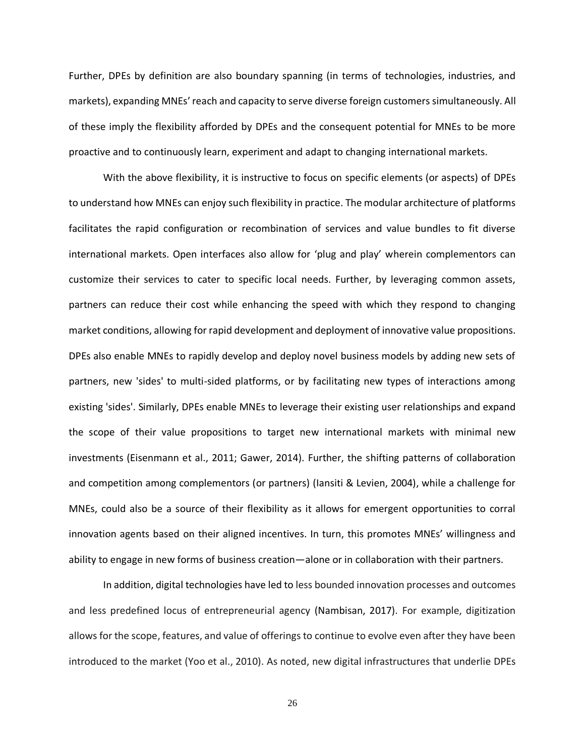Further, DPEs by definition are also boundary spanning (in terms of technologies, industries, and markets), expanding MNEs' reach and capacity to serve diverse foreign customers simultaneously. All of these imply the flexibility afforded by DPEs and the consequent potential for MNEs to be more proactive and to continuously learn, experiment and adapt to changing international markets.

With the above flexibility, it is instructive to focus on specific elements (or aspects) of DPEs to understand how MNEs can enjoy such flexibility in practice. The modular architecture of platforms facilitates the rapid configuration or recombination of services and value bundles to fit diverse international markets. Open interfaces also allow for 'plug and play' wherein complementors can customize their services to cater to specific local needs. Further, by leveraging common assets, partners can reduce their cost while enhancing the speed with which they respond to changing market conditions, allowing for rapid development and deployment of innovative value propositions. DPEs also enable MNEs to rapidly develop and deploy novel business models by adding new sets of partners, new 'sides' to multi-sided platforms, or by facilitating new types of interactions among existing 'sides'. Similarly, DPEs enable MNEs to leverage their existing user relationships and expand the scope of their value propositions to target new international markets with minimal new investments (Eisenmann et al., 2011; Gawer, 2014). Further, the shifting patterns of collaboration and competition among complementors (or partners) (Iansiti & Levien, 2004), while a challenge for MNEs, could also be a source of their flexibility as it allows for emergent opportunities to corral innovation agents based on their aligned incentives. In turn, this promotes MNEs' willingness and ability to engage in new forms of business creation—alone or in collaboration with their partners.

In addition, digital technologies have led to less bounded innovation processes and outcomes and less predefined locus of entrepreneurial agency (Nambisan, 2017). For example, digitization allows for the scope, features, and value of offerings to continue to evolve even after they have been introduced to the market (Yoo et al., 2010). As noted, new digital infrastructures that underlie DPEs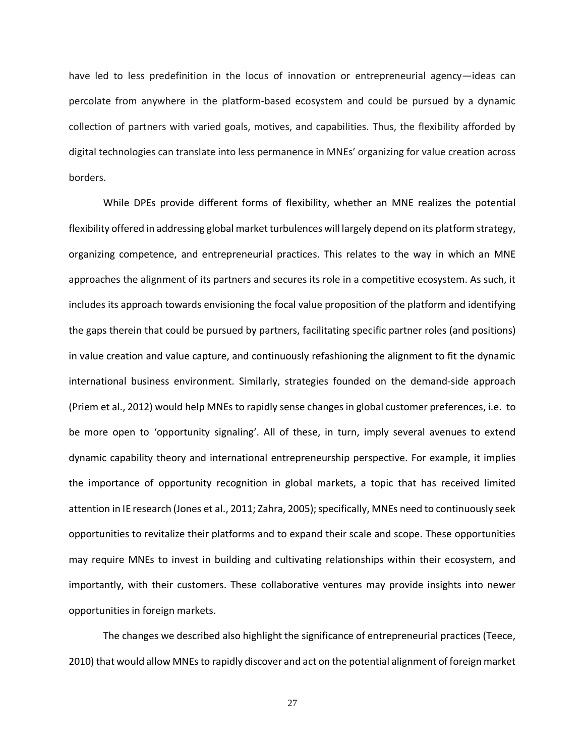have led to less predefinition in the locus of innovation or entrepreneurial agency—ideas can percolate from anywhere in the platform-based ecosystem and could be pursued by a dynamic collection of partners with varied goals, motives, and capabilities. Thus, the flexibility afforded by digital technologies can translate into less permanence in MNEs' organizing for value creation across borders.

While DPEs provide different forms of flexibility, whether an MNE realizes the potential flexibility offered in addressing global market turbulences will largely depend on its platform strategy, organizing competence, and entrepreneurial practices. This relates to the way in which an MNE approaches the alignment of its partners and secures its role in a competitive ecosystem. As such, it includes its approach towards envisioning the focal value proposition of the platform and identifying the gaps therein that could be pursued by partners, facilitating specific partner roles (and positions) in value creation and value capture, and continuously refashioning the alignment to fit the dynamic international business environment. Similarly, strategies founded on the demand-side approach (Priem et al., 2012) would help MNEs to rapidly sense changes in global customer preferences, i.e. to be more open to 'opportunity signaling'. All of these, in turn, imply several avenues to extend dynamic capability theory and international entrepreneurship perspective. For example, it implies the importance of opportunity recognition in global markets, a topic that has received limited attention in IE research (Jones et al., 2011; Zahra, 2005); specifically, MNEs need to continuously seek opportunities to revitalize their platforms and to expand their scale and scope. These opportunities may require MNEs to invest in building and cultivating relationships within their ecosystem, and importantly, with their customers. These collaborative ventures may provide insights into newer opportunities in foreign markets.

The changes we described also highlight the significance of entrepreneurial practices (Teece, 2010) that would allow MNEs to rapidly discover and act on the potential alignment of foreign market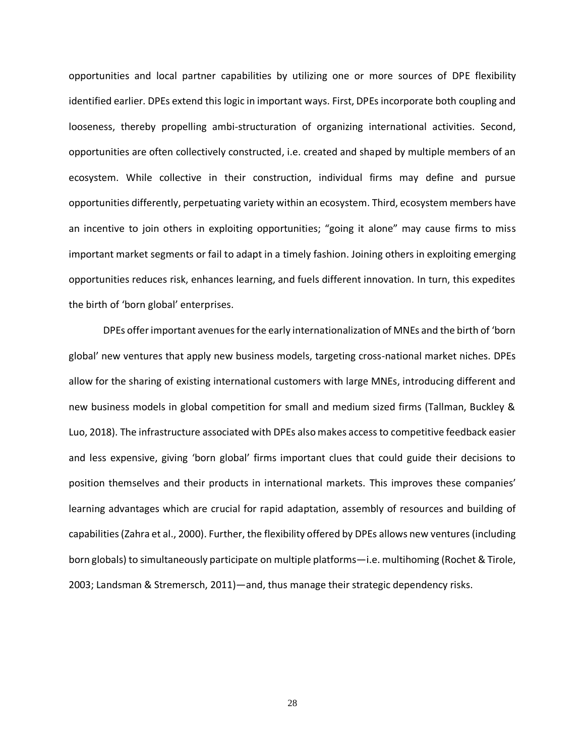opportunities and local partner capabilities by utilizing one or more sources of DPE flexibility identified earlier. DPEs extend this logic in important ways. First, DPEs incorporate both coupling and looseness, thereby propelling ambi-structuration of organizing international activities. Second, opportunities are often collectively constructed, i.e. created and shaped by multiple members of an ecosystem. While collective in their construction, individual firms may define and pursue opportunities differently, perpetuating variety within an ecosystem. Third, ecosystem members have an incentive to join others in exploiting opportunities; "going it alone" may cause firms to miss important market segments or fail to adapt in a timely fashion. Joining others in exploiting emerging opportunities reduces risk, enhances learning, and fuels different innovation. In turn, this expedites the birth of 'born global' enterprises.

DPEs offer important avenues for the early internationalization of MNEs and the birth of 'born global' new ventures that apply new business models, targeting cross-national market niches. DPEs allow for the sharing of existing international customers with large MNEs, introducing different and new business models in global competition for small and medium sized firms (Tallman, Buckley & Luo, 2018). The infrastructure associated with DPEs also makes access to competitive feedback easier and less expensive, giving 'born global' firms important clues that could guide their decisions to position themselves and their products in international markets. This improves these companies' learning advantages which are crucial for rapid adaptation, assembly of resources and building of capabilities (Zahra et al., 2000). Further, the flexibility offered by DPEs allows new ventures (including born globals) to simultaneously participate on multiple platforms—i.e. multihoming (Rochet & Tirole, 2003; Landsman & Stremersch, 2011)—and, thus manage their strategic dependency risks.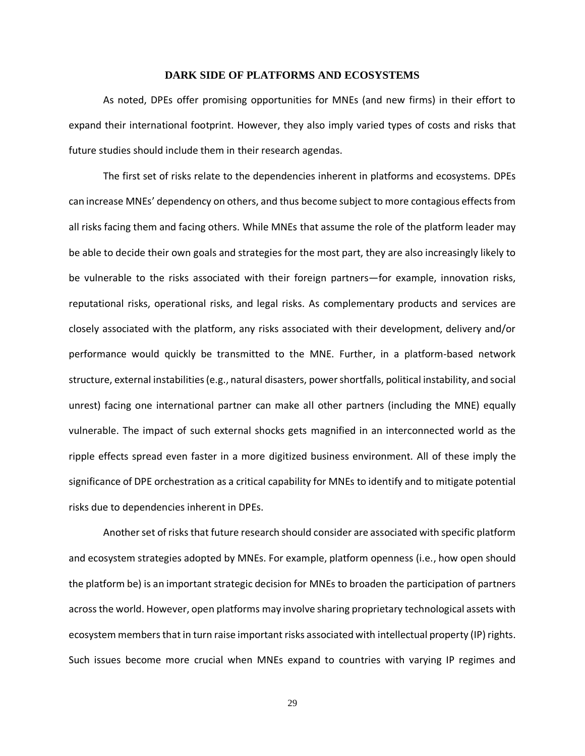## **DARK SIDE OF PLATFORMS AND ECOSYSTEMS**

As noted, DPEs offer promising opportunities for MNEs (and new firms) in their effort to expand their international footprint. However, they also imply varied types of costs and risks that future studies should include them in their research agendas.

The first set of risks relate to the dependencies inherent in platforms and ecosystems. DPEs can increase MNEs' dependency on others, and thus become subject to more contagious effects from all risks facing them and facing others. While MNEs that assume the role of the platform leader may be able to decide their own goals and strategies for the most part, they are also increasingly likely to be vulnerable to the risks associated with their foreign partners—for example, innovation risks, reputational risks, operational risks, and legal risks. As complementary products and services are closely associated with the platform, any risks associated with their development, delivery and/or performance would quickly be transmitted to the MNE. Further, in a platform-based network structure, external instabilities (e.g., natural disasters, power shortfalls, political instability, and social unrest) facing one international partner can make all other partners (including the MNE) equally vulnerable. The impact of such external shocks gets magnified in an interconnected world as the ripple effects spread even faster in a more digitized business environment. All of these imply the significance of DPE orchestration as a critical capability for MNEs to identify and to mitigate potential risks due to dependencies inherent in DPEs.

Another set of risks that future research should consider are associated with specific platform and ecosystem strategies adopted by MNEs. For example, platform openness (i.e., how open should the platform be) is an important strategic decision for MNEs to broaden the participation of partners across the world. However, open platforms may involve sharing proprietary technological assets with ecosystem members that in turn raise important risks associated with intellectual property (IP) rights. Such issues become more crucial when MNEs expand to countries with varying IP regimes and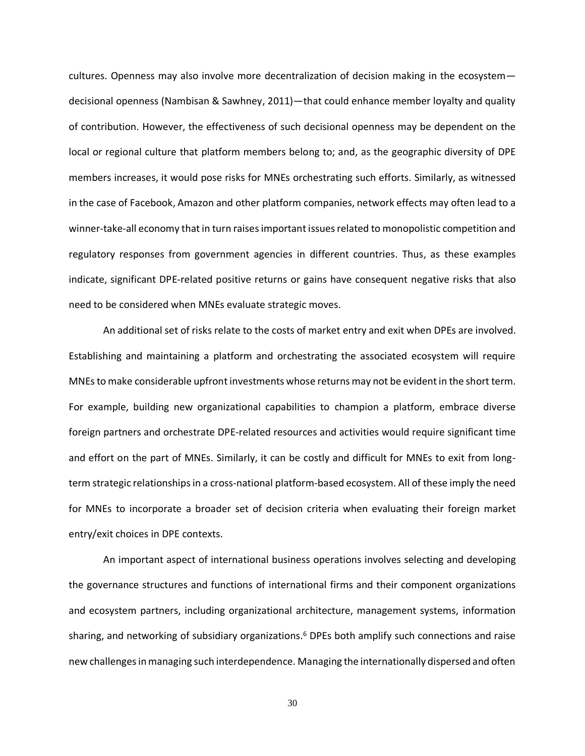cultures. Openness may also involve more decentralization of decision making in the ecosystem decisional openness (Nambisan & Sawhney, 2011)—that could enhance member loyalty and quality of contribution. However, the effectiveness of such decisional openness may be dependent on the local or regional culture that platform members belong to; and, as the geographic diversity of DPE members increases, it would pose risks for MNEs orchestrating such efforts. Similarly, as witnessed in the case of Facebook, Amazon and other platform companies, network effects may often lead to a winner-take-all economy that in turn raisesimportant issues related to monopolistic competition and regulatory responses from government agencies in different countries. Thus, as these examples indicate, significant DPE-related positive returns or gains have consequent negative risks that also need to be considered when MNEs evaluate strategic moves.

An additional set of risks relate to the costs of market entry and exit when DPEs are involved. Establishing and maintaining a platform and orchestrating the associated ecosystem will require MNEs to make considerable upfront investments whose returns may not be evident in the short term. For example, building new organizational capabilities to champion a platform, embrace diverse foreign partners and orchestrate DPE-related resources and activities would require significant time and effort on the part of MNEs. Similarly, it can be costly and difficult for MNEs to exit from longterm strategic relationships in a cross-national platform-based ecosystem. All of these imply the need for MNEs to incorporate a broader set of decision criteria when evaluating their foreign market entry/exit choices in DPE contexts.

An important aspect of international business operations involves selecting and developing the governance structures and functions of international firms and their component organizations and ecosystem partners, including organizational architecture, management systems, information sharing, and networking of subsidiary organizations.<sup>6</sup> DPEs both amplify such connections and raise new challenges in managing such interdependence. Managing the internationally dispersed and often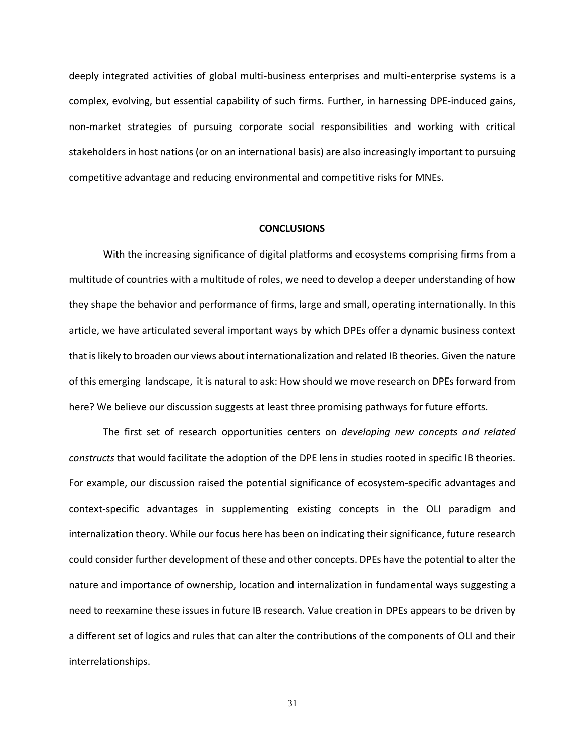deeply integrated activities of global multi-business enterprises and multi-enterprise systems is a complex, evolving, but essential capability of such firms. Further, in harnessing DPE-induced gains, non-market strategies of pursuing corporate social responsibilities and working with critical stakeholders in host nations (or on an international basis) are also increasingly important to pursuing competitive advantage and reducing environmental and competitive risks for MNEs.

#### **CONCLUSIONS**

With the increasing significance of digital platforms and ecosystems comprising firms from a multitude of countries with a multitude of roles, we need to develop a deeper understanding of how they shape the behavior and performance of firms, large and small, operating internationally. In this article, we have articulated several important ways by which DPEs offer a dynamic business context that is likely to broaden our views about internationalization and related IB theories. Given the nature of this emerging landscape, it is natural to ask: How should we move research on DPEs forward from here? We believe our discussion suggests at least three promising pathways for future efforts.

The first set of research opportunities centers on *developing new concepts and related constructs* that would facilitate the adoption of the DPE lens in studies rooted in specific IB theories. For example, our discussion raised the potential significance of ecosystem-specific advantages and context-specific advantages in supplementing existing concepts in the OLI paradigm and internalization theory. While our focus here has been on indicating their significance, future research could consider further development of these and other concepts. DPEs have the potential to alter the nature and importance of ownership, location and internalization in fundamental ways suggesting a need to reexamine these issues in future IB research. Value creation in DPEs appears to be driven by a different set of logics and rules that can alter the contributions of the components of OLI and their interrelationships.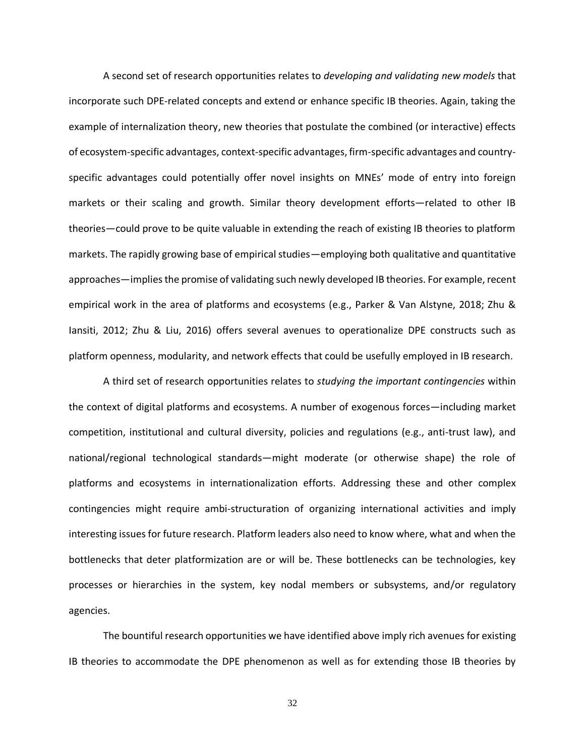A second set of research opportunities relates to *developing and validating new models* that incorporate such DPE-related concepts and extend or enhance specific IB theories. Again, taking the example of internalization theory, new theories that postulate the combined (or interactive) effects of ecosystem-specific advantages, context-specific advantages, firm-specific advantages and countryspecific advantages could potentially offer novel insights on MNEs' mode of entry into foreign markets or their scaling and growth. Similar theory development efforts—related to other IB theories—could prove to be quite valuable in extending the reach of existing IB theories to platform markets. The rapidly growing base of empirical studies—employing both qualitative and quantitative approaches—impliesthe promise of validating such newly developed IB theories. For example, recent empirical work in the area of platforms and ecosystems (e.g., Parker & Van Alstyne, 2018; Zhu & Iansiti, 2012; Zhu & Liu, 2016) offers several avenues to operationalize DPE constructs such as platform openness, modularity, and network effects that could be usefully employed in IB research.

A third set of research opportunities relates to *studying the important contingencies* within the context of digital platforms and ecosystems. A number of exogenous forces—including market competition, institutional and cultural diversity, policies and regulations (e.g., anti-trust law), and national/regional technological standards—might moderate (or otherwise shape) the role of platforms and ecosystems in internationalization efforts. Addressing these and other complex contingencies might require ambi-structuration of organizing international activities and imply interesting issues for future research. Platform leaders also need to know where, what and when the bottlenecks that deter platformization are or will be. These bottlenecks can be technologies, key processes or hierarchies in the system, key nodal members or subsystems, and/or regulatory agencies.

The bountiful research opportunities we have identified above imply rich avenues for existing IB theories to accommodate the DPE phenomenon as well as for extending those IB theories by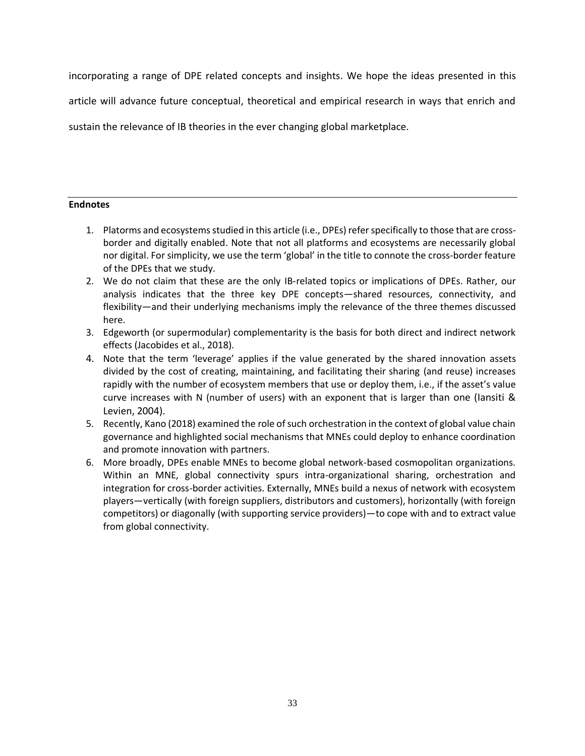incorporating a range of DPE related concepts and insights. We hope the ideas presented in this

article will advance future conceptual, theoretical and empirical research in ways that enrich and

sustain the relevance of IB theories in the ever changing global marketplace.

## **Endnotes**

- 1. Platorms and ecosystems studied in this article (i.e., DPEs) refer specifically to those that are crossborder and digitally enabled. Note that not all platforms and ecosystems are necessarily global nor digital. For simplicity, we use the term 'global' in the title to connote the cross-border feature of the DPEs that we study.
- 2. We do not claim that these are the only IB-related topics or implications of DPEs. Rather, our analysis indicates that the three key DPE concepts—shared resources, connectivity, and flexibility—and their underlying mechanisms imply the relevance of the three themes discussed here.
- 3. Edgeworth (or supermodular) complementarity is the basis for both direct and indirect network effects (Jacobides et al., 2018).
- 4. Note that the term 'leverage' applies if the value generated by the shared innovation assets divided by the cost of creating, maintaining, and facilitating their sharing (and reuse) increases rapidly with the number of ecosystem members that use or deploy them, i.e., if the asset's value curve increases with N (number of users) with an exponent that is larger than one (Iansiti & Levien, 2004).
- 5. Recently, Kano (2018) examined the role of such orchestration in the context of global value chain governance and highlighted social mechanisms that MNEs could deploy to enhance coordination and promote innovation with partners.
- 6. More broadly, DPEs enable MNEs to become global network-based cosmopolitan organizations. Within an MNE, global connectivity spurs intra-organizational sharing, orchestration and integration for cross-border activities. Externally, MNEs build a nexus of network with ecosystem players—vertically (with foreign suppliers, distributors and customers), horizontally (with foreign competitors) or diagonally (with supporting service providers)—to cope with and to extract value from global connectivity.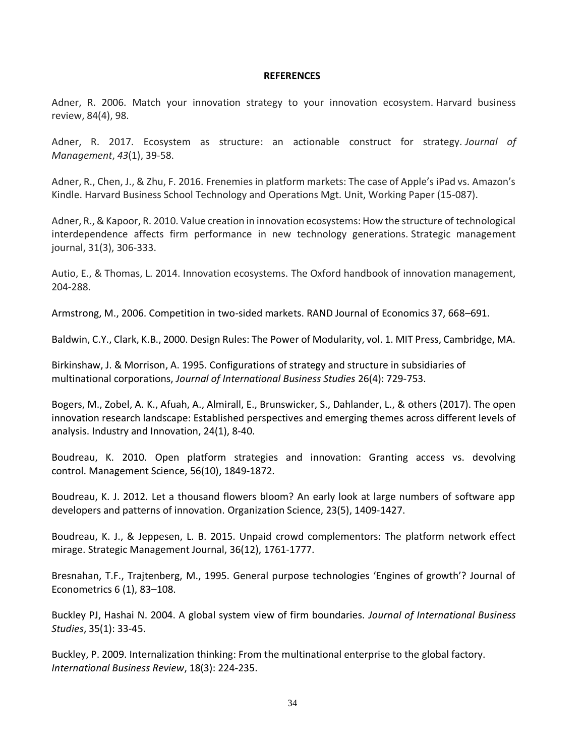#### **REFERENCES**

Adner, R. 2006. Match your innovation strategy to your innovation ecosystem. Harvard business review, 84(4), 98.

Adner, R. 2017. Ecosystem as structure: an actionable construct for strategy. *Journal of Management*, *43*(1), 39-58.

Adner, R., Chen, J., & Zhu, F. 2016. Frenemies in platform markets: The case of Apple's iPad vs. Amazon's Kindle. Harvard Business School Technology and Operations Mgt. Unit, Working Paper (15-087).

Adner, R., & Kapoor, R. 2010. Value creation in innovation ecosystems: How the structure of technological interdependence affects firm performance in new technology generations. Strategic management journal, 31(3), 306-333.

Autio, E., & Thomas, L. 2014. Innovation ecosystems. The Oxford handbook of innovation management, 204-288.

Armstrong, M., 2006. Competition in two-sided markets. RAND Journal of Economics 37, 668–691.

Baldwin, C.Y., Clark, K.B., 2000. Design Rules: The Power of Modularity, vol. 1. MIT Press, Cambridge, MA.

Birkinshaw, J. & Morrison, A. 1995. Configurations of strategy and structure in subsidiaries of multinational corporations, *Journal of International Business Studies* 26(4): 729-753.

Bogers, M., Zobel, A. K., Afuah, A., Almirall, E., Brunswicker, S., Dahlander, L., & others (2017). The open innovation research landscape: Established perspectives and emerging themes across different levels of analysis. Industry and Innovation, 24(1), 8-40.

Boudreau, K. 2010. Open platform strategies and innovation: Granting access vs. devolving control. Management Science, 56(10), 1849-1872.

Boudreau, K. J. 2012. Let a thousand flowers bloom? An early look at large numbers of software app developers and patterns of innovation. Organization Science, 23(5), 1409-1427.

Boudreau, K. J., & Jeppesen, L. B. 2015. Unpaid crowd complementors: The platform network effect mirage. Strategic Management Journal, 36(12), 1761-1777.

Bresnahan, T.F., Trajtenberg, M., 1995. General purpose technologies 'Engines of growth'? Journal of Econometrics 6 (1), 83–108.

Buckley PJ, Hashai N. 2004. A global system view of firm boundaries. *Journal of International Business Studies*, 35(1): 33-45.

Buckley, P. 2009. Internalization thinking: From the multinational enterprise to the global factory. *International Business Review*, 18(3): 224-235.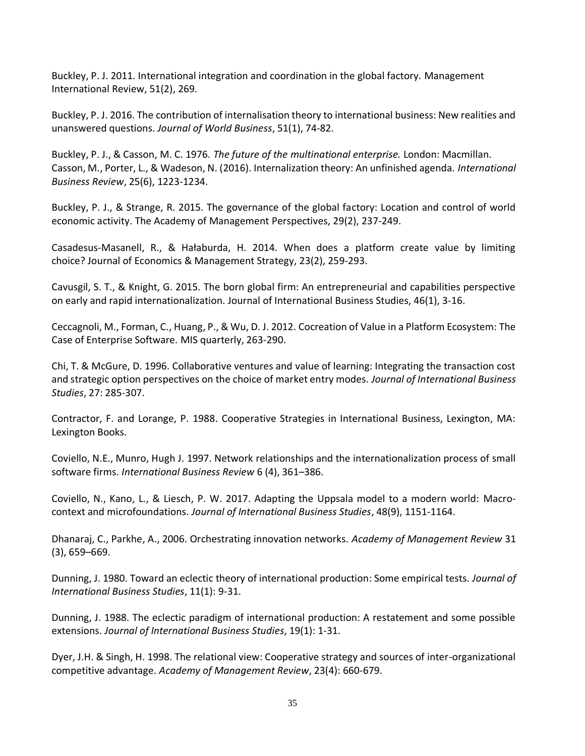Buckley, P. J. 2011. International integration and coordination in the global factory. Management International Review, 51(2), 269.

Buckley, P. J. 2016. The contribution of internalisation theory to international business: New realities and unanswered questions. *Journal of World Business*, 51(1), 74-82.

Buckley, P. J., & Casson, M. C. 1976. *The future of the multinational enterprise.* London: Macmillan. Casson, M., Porter, L., & Wadeson, N. (2016). Internalization theory: An unfinished agenda. *International Business Review*, 25(6), 1223-1234.

Buckley, P. J., & Strange, R. 2015. The governance of the global factory: Location and control of world economic activity. The Academy of Management Perspectives, 29(2), 237-249.

Casadesus-Masanell, R., & Hałaburda, H. 2014. When does a platform create value by limiting choice? Journal of Economics & Management Strategy, 23(2), 259-293.

Cavusgil, S. T., & Knight, G. 2015. The born global firm: An entrepreneurial and capabilities perspective on early and rapid internationalization. Journal of International Business Studies, 46(1), 3-16.

Ceccagnoli, M., Forman, C., Huang, P., & Wu, D. J. 2012. Cocreation of Value in a Platform Ecosystem: The Case of Enterprise Software. MIS quarterly, 263-290.

Chi, T. & McGure, D. 1996. Collaborative ventures and value of learning: Integrating the transaction cost and strategic option perspectives on the choice of market entry modes. *Journal of International Business Studies*, 27: 285-307.

Contractor, F. and Lorange, P. 1988. Cooperative Strategies in International Business, Lexington, MA: Lexington Books.

Coviello, N.E., Munro, Hugh J. 1997. Network relationships and the internationalization process of small software firms. *International Business Review* 6 (4), 361–386.

Coviello, N., Kano, L., & Liesch, P. W. 2017. Adapting the Uppsala model to a modern world: Macrocontext and microfoundations. *Journal of International Business Studies*, 48(9), 1151-1164.

Dhanaraj, C., Parkhe, A., 2006. Orchestrating innovation networks. *Academy of Management Review* 31 (3), 659–669.

Dunning, J. 1980. Toward an eclectic theory of international production: Some empirical tests. *Journal of International Business Studies*, 11(1): 9-31.

Dunning, J. 1988. The eclectic paradigm of international production: A restatement and some possible extensions. *Journal of International Business Studies*, 19(1): 1-31.

Dyer, J.H. & Singh, H. 1998. The relational view: Cooperative strategy and sources of inter-organizational competitive advantage. *Academy of Management Review*, 23(4): 660-679.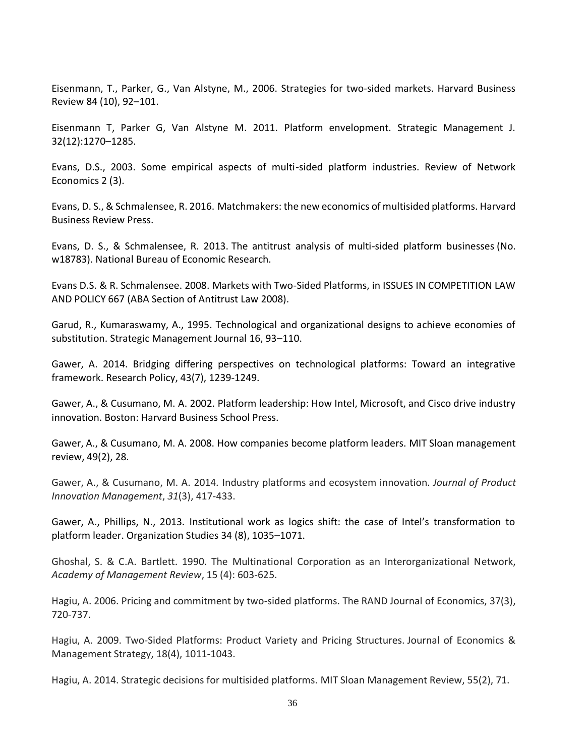Eisenmann, T., Parker, G., Van Alstyne, M., 2006. Strategies for two-sided markets. Harvard Business Review 84 (10), 92–101.

Eisenmann T, Parker G, Van Alstyne M. 2011. Platform envelopment. Strategic Management J. 32(12):1270–1285.

Evans, D.S., 2003. Some empirical aspects of multi-sided platform industries. Review of Network Economics 2 (3).

Evans, D. S., & Schmalensee, R. 2016. Matchmakers: the new economics of multisided platforms. Harvard Business Review Press.

Evans, D. S., & Schmalensee, R. 2013. The antitrust analysis of multi-sided platform businesses (No. w18783). National Bureau of Economic Research.

Evans D.S. & R. Schmalensee. 2008. Markets with Two-Sided Platforms, in ISSUES IN COMPETITION LAW AND POLICY 667 (ABA Section of Antitrust Law 2008).

Garud, R., Kumaraswamy, A., 1995. Technological and organizational designs to achieve economies of substitution. Strategic Management Journal 16, 93–110.

Gawer, A. 2014. Bridging differing perspectives on technological platforms: Toward an integrative framework. Research Policy, 43(7), 1239-1249.

Gawer, A., & Cusumano, M. A. 2002. Platform leadership: How Intel, Microsoft, and Cisco drive industry innovation. Boston: Harvard Business School Press.

Gawer, A., & Cusumano, M. A. 2008. How companies become platform leaders. MIT Sloan management review, 49(2), 28.

Gawer, A., & Cusumano, M. A. 2014. Industry platforms and ecosystem innovation. *Journal of Product Innovation Management*, *31*(3), 417-433.

Gawer, A., Phillips, N., 2013. Institutional work as logics shift: the case of Intel's transformation to platform leader. Organization Studies 34 (8), 1035–1071.

Ghoshal, S. & C.A. Bartlett. 1990. The Multinational Corporation as an Interorganizational Network, *Academy of Management Review*, 15 (4): 603-625.

Hagiu, A. 2006. Pricing and commitment by two-sided platforms. The RAND Journal of Economics, 37(3), 720-737.

Hagiu, A. 2009. Two-Sided Platforms: Product Variety and Pricing Structures. Journal of Economics & Management Strategy, 18(4), 1011-1043.

Hagiu, A. 2014. Strategic decisions for multisided platforms. MIT Sloan Management Review, 55(2), 71.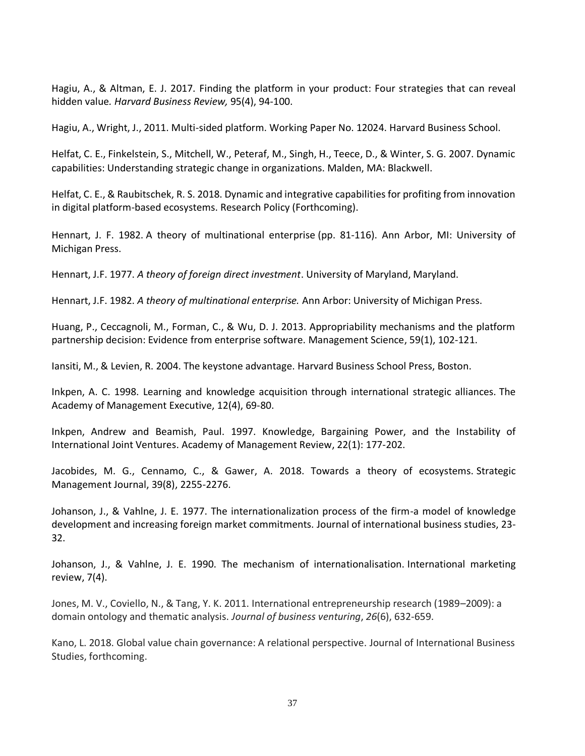Hagiu, A., & Altman, E. J. 2017. Finding the platform in your product: Four strategies that can reveal hidden value*. Harvard Business Review,* 95(4), 94-100.

Hagiu, A., Wright, J., 2011. Multi-sided platform. Working Paper No. 12024. Harvard Business School.

Helfat, C. E., Finkelstein, S., Mitchell, W., Peteraf, M., Singh, H., Teece, D., & Winter, S. G. 2007. Dynamic capabilities: Understanding strategic change in organizations. Malden, MA: Blackwell.

Helfat, C. E., & Raubitschek, R. S. 2018. Dynamic and integrative capabilities for profiting from innovation in digital platform-based ecosystems. Research Policy (Forthcoming).

Hennart, J. F. 1982. A theory of multinational enterprise (pp. 81-116). Ann Arbor, MI: University of Michigan Press.

Hennart, J.F. 1977. *A theory of foreign direct investment*. University of Maryland, Maryland.

Hennart, J.F. 1982. *A theory of multinational enterprise.* Ann Arbor: University of Michigan Press.

Huang, P., Ceccagnoli, M., Forman, C., & Wu, D. J. 2013. Appropriability mechanisms and the platform partnership decision: Evidence from enterprise software. Management Science, 59(1), 102-121.

Iansiti, M., & Levien, R. 2004. The keystone advantage. Harvard Business School Press, Boston.

Inkpen, A. C. 1998. Learning and knowledge acquisition through international strategic alliances. The Academy of Management Executive, 12(4), 69-80.

Inkpen, Andrew and Beamish, Paul. 1997. Knowledge, Bargaining Power, and the Instability of International Joint Ventures. Academy of Management Review, 22(1): 177-202.

Jacobides, M. G., Cennamo, C., & Gawer, A. 2018. Towards a theory of ecosystems. Strategic Management Journal, 39(8), 2255-2276.

Johanson, J., & Vahlne, J. E. 1977. The internationalization process of the firm-a model of knowledge development and increasing foreign market commitments. Journal of international business studies, 23- 32.

Johanson, J., & Vahlne, J. E. 1990. The mechanism of internationalisation. International marketing review, 7(4).

Jones, M. V., Coviello, N., & Tang, Y. K. 2011. International entrepreneurship research (1989–2009): a domain ontology and thematic analysis. *Journal of business venturing*, *26*(6), 632-659.

Kano, L. 2018. Global value chain governance: A relational perspective. Journal of International Business Studies, forthcoming.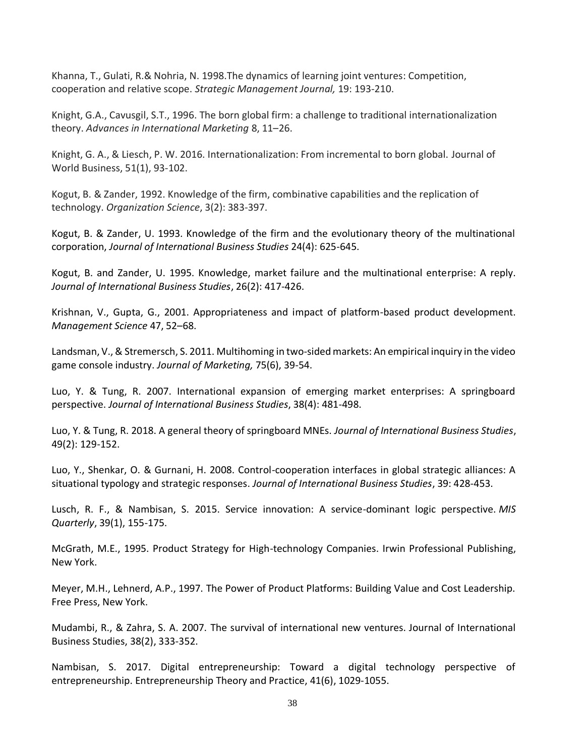Khanna, T., Gulati, R.& Nohria, N. 1998.The dynamics of learning joint ventures: Competition, cooperation and relative scope. *Strategic Management Journal,* 19: 193-210.

Knight, G.A., Cavusgil, S.T., 1996. The born global firm: a challenge to traditional internationalization theory. *Advances in International Marketing* 8, 11–26.

Knight, G. A., & Liesch, P. W. 2016. Internationalization: From incremental to born global. Journal of World Business, 51(1), 93-102.

Kogut, B. & Zander, 1992. Knowledge of the firm, combinative capabilities and the replication of technology. *Organization Science*, 3(2): 383-397.

Kogut, B. & Zander, U. 1993. Knowledge of the firm and the evolutionary theory of the multinational corporation, *Journal of International Business Studies* 24(4): 625-645.

Kogut, B. and Zander, U. 1995. Knowledge, market failure and the multinational enterprise: A reply. *Journal of International Business Studies*, 26(2): 417-426.

Krishnan, V., Gupta, G., 2001. Appropriateness and impact of platform-based product development. *Management Science* 47, 52–68.

Landsman, V., & Stremersch, S. 2011. Multihoming in two-sided markets: An empirical inquiry in the video game console industry. *Journal of Marketing,* 75(6), 39-54.

Luo, Y. & Tung, R. 2007. International expansion of emerging market enterprises: A springboard perspective. *Journal of International Business Studies*, 38(4): 481-498.

Luo, Y. & Tung, R. 2018. A general theory of springboard MNEs. *Journal of International Business Studies*, 49(2): 129-152.

Luo, Y., Shenkar, O. & Gurnani, H. 2008. Control-cooperation interfaces in global strategic alliances: A situational typology and strategic responses. *Journal of International Business Studies*, 39: 428-453.

Lusch, R. F., & Nambisan, S. 2015. Service innovation: A service-dominant logic perspective. *MIS Quarterly*, 39(1), 155-175.

McGrath, M.E., 1995. Product Strategy for High-technology Companies. Irwin Professional Publishing, New York.

Meyer, M.H., Lehnerd, A.P., 1997. The Power of Product Platforms: Building Value and Cost Leadership. Free Press, New York.

Mudambi, R., & Zahra, S. A. 2007. The survival of international new ventures. Journal of International Business Studies, 38(2), 333-352.

Nambisan, S. 2017. Digital entrepreneurship: Toward a digital technology perspective of entrepreneurship. Entrepreneurship Theory and Practice, 41(6), 1029-1055.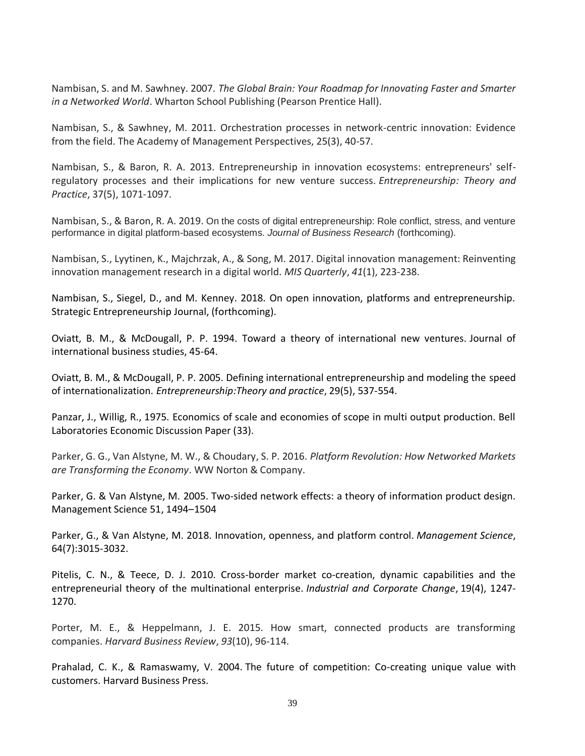Nambisan, S. and M. Sawhney. 2007. *The Global Brain: Your Roadmap for Innovating Faster and Smarter in a Networked World*. Wharton School Publishing (Pearson Prentice Hall).

Nambisan, S., & Sawhney, M. 2011. Orchestration processes in network-centric innovation: Evidence from the field. The Academy of Management Perspectives, 25(3), 40-57.

Nambisan, S., & Baron, R. A. 2013. Entrepreneurship in innovation ecosystems: entrepreneurs' self‐ regulatory processes and their implications for new venture success. *Entrepreneurship: Theory and Practice*, 37(5), 1071-1097.

Nambisan, S., & Baron, R. A. 2019. On the costs of digital entrepreneurship: Role conflict, stress, and venture performance in digital platform-based ecosystems. *Journal of Business Research* (forthcoming).

Nambisan, S., Lyytinen, K., Majchrzak, A., & Song, M. 2017. Digital innovation management: Reinventing innovation management research in a digital world. *MIS Quarterly*, *41*(1), 223-238.

Nambisan, S., Siegel, D., and M. Kenney. 2018. On open innovation, platforms and entrepreneurship. Strategic Entrepreneurship Journal, (forthcoming).

Oviatt, B. M., & McDougall, P. P. 1994. Toward a theory of international new ventures. Journal of international business studies, 45-64.

Oviatt, B. M., & McDougall, P. P. 2005. Defining international entrepreneurship and modeling the speed of internationalization. *Entrepreneurship:Theory and practice*, 29(5), 537-554.

Panzar, J., Willig, R., 1975. Economics of scale and economies of scope in multi output production. Bell Laboratories Economic Discussion Paper (33).

Parker, G. G., Van Alstyne, M. W., & Choudary, S. P. 2016. *Platform Revolution: How Networked Markets are Transforming the Economy*. WW Norton & Company.

Parker, G. & Van Alstyne, M. 2005. Two-sided network effects: a theory of information product design. Management Science 51, 1494–1504

Parker, G., & Van Alstyne, M. 2018. Innovation, openness, and platform control. *Management Science*, 64(7):3015-3032.

Pitelis, C. N., & Teece, D. J. 2010. Cross-border market co-creation, dynamic capabilities and the entrepreneurial theory of the multinational enterprise. *Industrial and Corporate Change*, 19(4), 1247- 1270.

Porter, M. E., & Heppelmann, J. E. 2015. How smart, connected products are transforming companies. *Harvard Business Review*, *93*(10), 96-114.

Prahalad, C. K., & Ramaswamy, V. 2004. The future of competition: Co-creating unique value with customers. Harvard Business Press.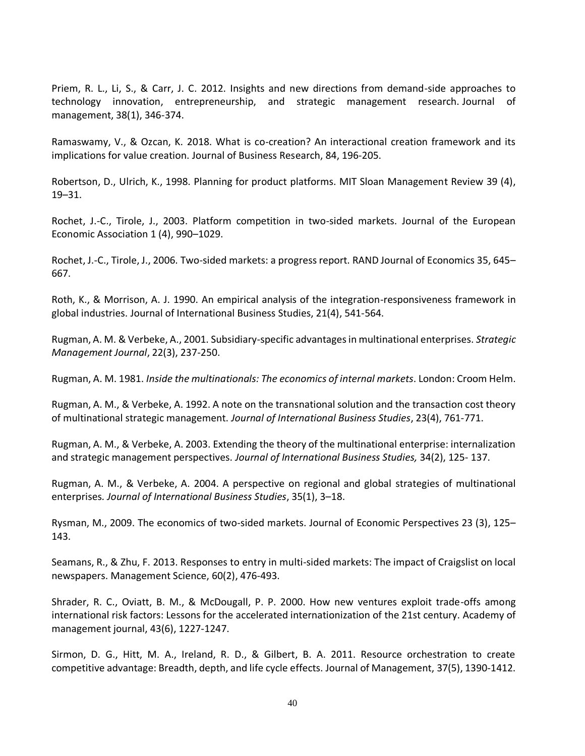Priem, R. L., Li, S., & Carr, J. C. 2012. Insights and new directions from demand-side approaches to technology innovation, entrepreneurship, and strategic management research. Journal of management, 38(1), 346-374.

Ramaswamy, V., & Ozcan, K. 2018. What is co-creation? An interactional creation framework and its implications for value creation. Journal of Business Research, 84, 196-205.

Robertson, D., Ulrich, K., 1998. Planning for product platforms. MIT Sloan Management Review 39 (4), 19–31.

Rochet, J.-C., Tirole, J., 2003. Platform competition in two-sided markets. Journal of the European Economic Association 1 (4), 990–1029.

Rochet, J.-C., Tirole, J., 2006. Two-sided markets: a progress report. RAND Journal of Economics 35, 645– 667.

Roth, K., & Morrison, A. J. 1990. An empirical analysis of the integration-responsiveness framework in global industries. Journal of International Business Studies, 21(4), 541-564.

Rugman, A. M. & Verbeke, A., 2001. Subsidiary-specific advantages in multinational enterprises. *Strategic Management Journal*, 22(3), 237-250.

Rugman, A. M. 1981. *Inside the multinationals: The economics of internal markets*. London: Croom Helm.

Rugman, A. M., & Verbeke, A. 1992. A note on the transnational solution and the transaction cost theory of multinational strategic management. *Journal of International Business Studies*, 23(4), 761-771.

Rugman, A. M., & Verbeke, A. 2003. Extending the theory of the multinational enterprise: internalization and strategic management perspectives. *Journal of International Business Studies,* 34(2), 125- 137.

Rugman, A. M., & Verbeke, A. 2004. A perspective on regional and global strategies of multinational enterprises*. Journal of International Business Studies*, 35(1), 3–18.

Rysman, M., 2009. The economics of two-sided markets. Journal of Economic Perspectives 23 (3), 125– 143.

Seamans, R., & Zhu, F. 2013. Responses to entry in multi-sided markets: The impact of Craigslist on local newspapers. Management Science, 60(2), 476-493.

Shrader, R. C., Oviatt, B. M., & McDougall, P. P. 2000. How new ventures exploit trade-offs among international risk factors: Lessons for the accelerated internationization of the 21st century. Academy of management journal, 43(6), 1227-1247.

Sirmon, D. G., Hitt, M. A., Ireland, R. D., & Gilbert, B. A. 2011. Resource orchestration to create competitive advantage: Breadth, depth, and life cycle effects. Journal of Management, 37(5), 1390-1412.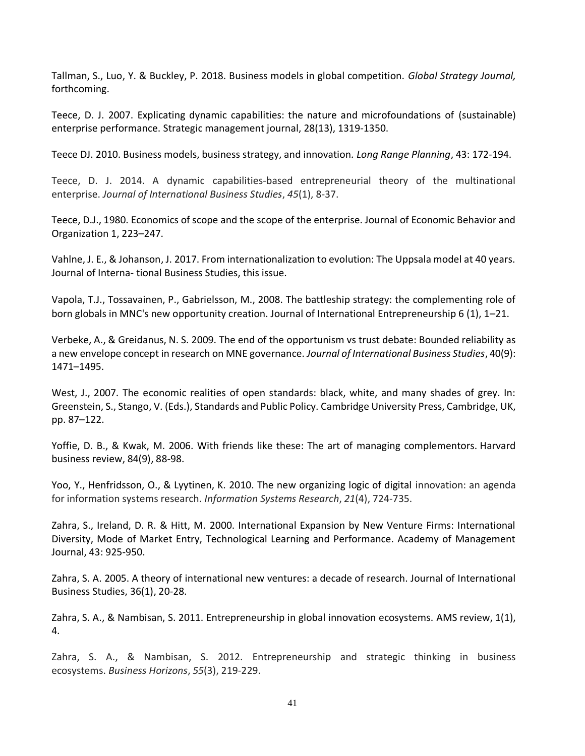Tallman, S., Luo, Y. & Buckley, P. 2018. Business models in global competition. *Global Strategy Journal,* forthcoming.

Teece, D. J. 2007. Explicating dynamic capabilities: the nature and microfoundations of (sustainable) enterprise performance. Strategic management journal, 28(13), 1319-1350.

Teece DJ. 2010. Business models, business strategy, and innovation*. Long Range Planning*, 43: 172-194.

Teece, D. J. 2014. A dynamic capabilities-based entrepreneurial theory of the multinational enterprise. *Journal of International Business Studies*, *45*(1), 8-37.

Teece, D.J., 1980. Economics of scope and the scope of the enterprise. Journal of Economic Behavior and Organization 1, 223–247.

Vahlne, J. E., & Johanson, J. 2017. From internationalization to evolution: The Uppsala model at 40 years. Journal of Interna- tional Business Studies, this issue.

Vapola, T.J., Tossavainen, P., Gabrielsson, M., 2008. The battleship strategy: the complementing role of born globals in MNC's new opportunity creation. Journal of International Entrepreneurship 6 (1), 1–21.

Verbeke, A., & Greidanus, N. S. 2009. The end of the opportunism vs trust debate: Bounded reliability as a new envelope concept in research on MNE governance. *Journal of International Business Studies*, 40(9): 1471–1495.

West, J., 2007. The economic realities of open standards: black, white, and many shades of grey. In: Greenstein, S., Stango, V. (Eds.), Standards and Public Policy. Cambridge University Press, Cambridge, UK, pp. 87–122.

Yoffie, D. B., & Kwak, M. 2006. With friends like these: The art of managing complementors. Harvard business review, 84(9), 88-98.

Yoo, Y., Henfridsson, O., & Lyytinen, K. 2010. The new organizing logic of digital innovation: an agenda for information systems research. *Information Systems Research*, *21*(4), 724-735.

Zahra, S., Ireland, D. R. & Hitt, M. 2000. International Expansion by New Venture Firms: International Diversity, Mode of Market Entry, Technological Learning and Performance. Academy of Management Journal, 43: 925-950.

Zahra, S. A. 2005. A theory of international new ventures: a decade of research. Journal of International Business Studies, 36(1), 20-28.

Zahra, S. A., & Nambisan, S. 2011. Entrepreneurship in global innovation ecosystems. AMS review, 1(1), 4.

Zahra, S. A., & Nambisan, S. 2012. Entrepreneurship and strategic thinking in business ecosystems. *Business Horizons*, *55*(3), 219-229.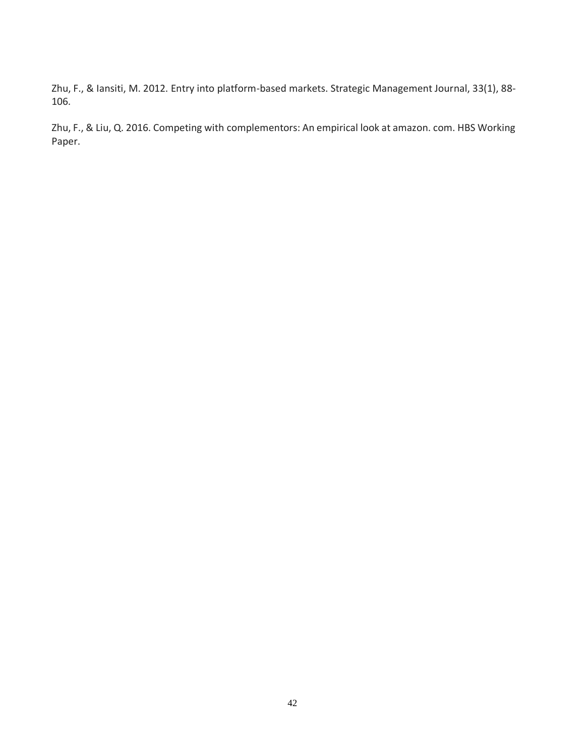Zhu, F., & Iansiti, M. 2012. Entry into platform-based markets. Strategic Management Journal, 33(1), 88- 106.

Zhu, F., & Liu, Q. 2016. Competing with complementors: An empirical look at amazon. com. HBS Working Paper.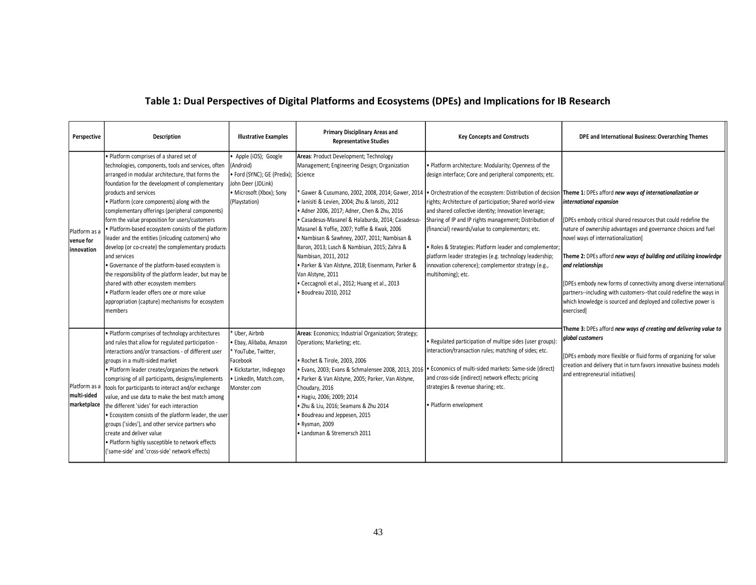# **Table 1: Dual Perspectives of Digital Platforms and Ecosystems (DPEs) and Implications for IB Research**

| Perspective                                 | Description                                                                                                                                                                                                                                                                                                                                                                                                                                                                                                                                                                                                                                                                                                                                                                                                                         | <b>Illustrative Examples</b>                                                                                                                      | Primary Disciplinary Areas and<br><b>Representative Studies</b>                                                                                                                                                                                                                                                                                                                                                                                                                                                                                                         | <b>Key Concepts and Constructs</b>                                                                                                                                                                                                                                                                                                                                                                                                                                                                                                                   | DPE and International Business: Overarching Themes                                                                                                                                                                                                                                                                                                                                                                                                                                                                                                                                                                                                                                                |
|---------------------------------------------|-------------------------------------------------------------------------------------------------------------------------------------------------------------------------------------------------------------------------------------------------------------------------------------------------------------------------------------------------------------------------------------------------------------------------------------------------------------------------------------------------------------------------------------------------------------------------------------------------------------------------------------------------------------------------------------------------------------------------------------------------------------------------------------------------------------------------------------|---------------------------------------------------------------------------------------------------------------------------------------------------|-------------------------------------------------------------------------------------------------------------------------------------------------------------------------------------------------------------------------------------------------------------------------------------------------------------------------------------------------------------------------------------------------------------------------------------------------------------------------------------------------------------------------------------------------------------------------|------------------------------------------------------------------------------------------------------------------------------------------------------------------------------------------------------------------------------------------------------------------------------------------------------------------------------------------------------------------------------------------------------------------------------------------------------------------------------------------------------------------------------------------------------|---------------------------------------------------------------------------------------------------------------------------------------------------------------------------------------------------------------------------------------------------------------------------------------------------------------------------------------------------------------------------------------------------------------------------------------------------------------------------------------------------------------------------------------------------------------------------------------------------------------------------------------------------------------------------------------------------|
| Platform as a<br>venue for<br>innovation    | · Platform comprises of a shared set of<br>technologies, components, tools and services, often<br>arranged in modular architecture, that forms the<br>foundation for the development of complementary<br>products and services<br>. Platform (core components) along with the<br>complementary offerings (peripheral components)<br>form the value proposition for users/customers<br>. Platform-based ecosystem consists of the platform<br>leader and the entities (inlcuding customers) who<br>develop (or co-create) the complementary products<br>and services<br>· Governance of the platform-based ecosystem is<br>the responsibility of the platform leader, but may be<br>shared with other ecosystem members<br>· Platform leader offers one or more value<br>appropriation (capture) mechanisms for ecosystem<br>members | Apple (iOS); Google<br>(Android)<br>• Ford (SYNC); GE (Predix); Science<br>John Deer (JDLink)<br>• Microsoft (Xbox); Sony<br>(Playstation)        | Areas: Product Development; Technology<br>Management; Engineering Design; Organization<br>· Ianisiti & Levien, 2004; Zhu & Iansiti, 2012<br>· Adner 2006, 2017; Adner, Chen & Zhu, 2016<br>· Casadesus-Masanel & Halaburda, 2014; Casadesus-<br>Masanel & Yoffie, 2007; Yoffie & Kwak, 2006<br>· Nambisan & Sawhney, 2007, 2011; Nambisan &<br>Baron, 2013; Lusch & Nambisan, 2015; Zahra &<br>Nambisan, 2011, 2012<br>· Parker & Van Alstyne, 2018; Eisenmann, Parker &<br>Van Alstyne, 2011<br>· Ceccagnoli et al., 2012; Huang et al., 2013<br>· Boudreau 2010, 2012 | . Platform architecture: Modularity; Openness of the<br>design interface; Core and peripheral components; etc.<br>rights; Architecture of participation; Shared world-view<br>and shared collective identity; Innovation leverage;<br>Sharing of IP and IP rights management; Distribution of<br>(financial) rewards/value to complementors; etc.<br>. Roles & Strategies: Platform leader and complementor;<br>platform leader strategies (e.g. technology leadership;<br>innovation coherence); complementor strategy (e.g.,<br>multihoming); etc. | Gawer & Cusumano, 2002, 2008, 2014; Gawer, 2014 . Orchestration of the ecosystem: Distribution of decision Theme 1: DPEs afford new ways of internationalization or<br>international expansion<br>[DPEs embody critical shared resources that could redefine the<br>nature of ownership advantages and governance choices and fuel<br>novel ways of internationalization]<br>Theme 2: DPEs afford new ways of building and utilizing knowledge<br>and relationships<br>[DPEs embody new forms of connectivity among diverse international<br>partners--including with customers--that could redefine the ways in<br>which knowledge is sourced and deployed and collective power is<br>exercised] |
| Platform as a<br>multi-sided<br>marketplace | · Platform comprises of technology architectures<br>and rules that allow for regulated participation -<br>interactions and/or transactions - of different user<br>groups in a multi-sided market<br>. Platform leader creates/organizes the network<br>comprising of all participants, designs/implements<br>tools for participants to interact and/or exchange<br>value, and use data to make the best match among<br>the different 'sides' for each interaction<br>. Ecosystem consists of the platform leader, the user<br>groups ('sides'), and other service partners who<br>create and deliver value<br>. Platform highly susceptible to network effects<br>('same-side' and 'cross-side' network effects)                                                                                                                    | * Uber. Airbnb<br>· Ebay, Alibaba, Amazon<br>* YouTube, Twitter,<br>Facebook<br>· Kickstarter, Indiegogo<br>· LinkedIn, Match.com,<br>Monster.com | Areas: Economics; Industrial Organization; Strategy;<br>Operations; Marketing; etc.<br>· Rochet & Tirole, 2003, 2006<br>· Evans, 2003; Evans & Schmalensee 2008, 2013, 2016<br>· Parker & Van Alstyne, 2005; Parker, Van Alstyne,<br>Choudary, 2016<br>· Hagiu, 2006; 2009; 2014<br>· Zhu & Liu, 2016; Seamans & Zhu 2014<br>· Boudreau and Jeppesen, 2015<br>• Rysman, 2009<br>• Landsman & Stremersch 2011                                                                                                                                                            | . Regulated participation of multipe sides (user groups):<br>interaction/transaction rules; matching of sides; etc.<br>. Economics of multi-sided markets: Same-side (direct)<br>and cross-side (indirect) network effects; pricing<br>strategies & revenue sharing; etc.<br>· Platform envelopment                                                                                                                                                                                                                                                  | Theme 3: DPEs afford new ways of creating and delivering value to<br>global customers<br>[DPEs embody more flexible or fluid forms of organizing for value<br>creation and delivery that in turn favors innovative business models<br>and entrepreneurial initiatives]                                                                                                                                                                                                                                                                                                                                                                                                                            |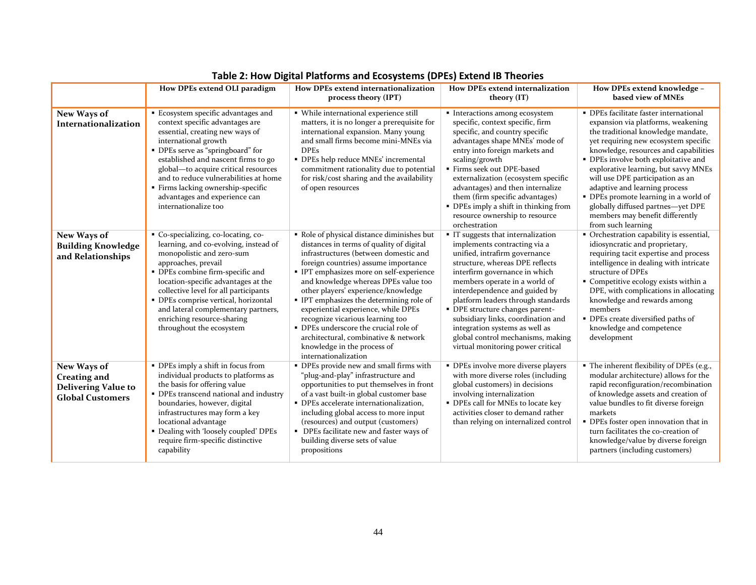|                                                                                             | How DPEs extend OLI paradigm                                                                                                                                                                                                                                                                                                                                                                | How DPEs extend internationalization<br>process theory (IPT)                                                                                                                                                                                                                                                                                                                                                                                                                                                                                                    | How DPEs extend internalization<br>theory (IT)                                                                                                                                                                                                                                                                                                                                                                                                                     | How DPEs extend knowledge -<br>based view of MNEs                                                                                                                                                                                                                                                                                                                                                                                                                                               |
|---------------------------------------------------------------------------------------------|---------------------------------------------------------------------------------------------------------------------------------------------------------------------------------------------------------------------------------------------------------------------------------------------------------------------------------------------------------------------------------------------|-----------------------------------------------------------------------------------------------------------------------------------------------------------------------------------------------------------------------------------------------------------------------------------------------------------------------------------------------------------------------------------------------------------------------------------------------------------------------------------------------------------------------------------------------------------------|--------------------------------------------------------------------------------------------------------------------------------------------------------------------------------------------------------------------------------------------------------------------------------------------------------------------------------------------------------------------------------------------------------------------------------------------------------------------|-------------------------------------------------------------------------------------------------------------------------------------------------------------------------------------------------------------------------------------------------------------------------------------------------------------------------------------------------------------------------------------------------------------------------------------------------------------------------------------------------|
| New Ways of<br>Internationalization                                                         | Ecosystem specific advantages and<br>context specific advantages are<br>essential, creating new ways of<br>international growth<br>• DPEs serve as "springboard" for<br>established and nascent firms to go<br>global-to acquire critical resources<br>and to reduce vulnerabilities at home<br>· Firms lacking ownership-specific<br>advantages and experience can<br>internationalize too | • While international experience still<br>matters, it is no longer a prerequisite for<br>international expansion. Many young<br>and small firms become mini-MNEs via<br><b>DPEs</b><br>• DPEs help reduce MNEs' incremental<br>commitment rationality due to potential<br>for risk/cost sharing and the availability<br>of open resources                                                                                                                                                                                                                       | · Interactions among ecosystem<br>specific, context specific, firm<br>specific, and country specific<br>advantages shape MNEs' mode of<br>entry into foreign markets and<br>scaling/growth<br>Firms seek out DPE-based<br>externalization (ecosystem specific<br>advantages) and then internalize<br>them (firm specific advantages)<br>• DPEs imply a shift in thinking from<br>resource ownership to resource<br>orchestration                                   | • DPEs facilitate faster international<br>expansion via platforms, weakening<br>the traditional knowledge mandate,<br>yet requiring new ecosystem specific<br>knowledge, resources and capabilities<br>• DPEs involve both exploitative and<br>explorative learning, but savvy MNEs<br>will use DPE participation as an<br>adaptive and learning process<br>· DPEs promote learning in a world of<br>globally diffused partnes-yet DPE<br>members may benefit differently<br>from such learning |
| New Ways of<br><b>Building Knowledge</b><br>and Relationships                               | Co-specializing, co-locating, co-<br>learning, and co-evolving, instead of<br>monopolistic and zero-sum<br>approaches, prevail<br>• DPEs combine firm-specific and<br>location-specific advantages at the<br>collective level for all participants<br>· DPEs comprise vertical, horizontal<br>and lateral complementary partners,<br>enriching resource-sharing<br>throughout the ecosystem | Role of physical distance diminishes but<br>distances in terms of quality of digital<br>infrastructures (between domestic and<br>foreign countries) assume importance<br>· IPT emphasizes more on self-experience<br>and knowledge whereas DPEs value too<br>other players' experience/knowledge<br>" IPT emphasizes the determining role of<br>experiential experience, while DPEs<br>recognize vicarious learning too<br>• DPEs underscore the crucial role of<br>architectural, combinative & network<br>knowledge in the process of<br>internationalization | IT suggests that internalization<br>implements contracting via a<br>unified, intrafirm governance<br>structure, whereas DPE reflects<br>interfirm governance in which<br>members operate in a world of<br>interdependence and guided by<br>platform leaders through standards<br>· DPE structure changes parent-<br>subsidiary links, coordination and<br>integration systems as well as<br>global control mechanisms, making<br>virtual monitoring power critical | • Orchestration capability is essential,<br>idiosyncratic and proprietary,<br>requiring tacit expertise and process<br>intelligence in dealing with intricate<br>structure of DPEs<br>• Competitive ecology exists within a<br>DPE, with complications in allocating<br>knowledge and rewards among<br>members<br>• DPEs create diversified paths of<br>knowledge and competence<br>development                                                                                                 |
| New Ways of<br><b>Creating and</b><br><b>Delivering Value to</b><br><b>Global Customers</b> | • DPEs imply a shift in focus from<br>individual products to platforms as<br>the basis for offering value<br>• DPEs transcend national and industry<br>boundaries, however, digital<br>infrastructures may form a key<br>locational advantage<br>• Dealing with 'loosely coupled' DPEs<br>require firm-specific distinctive<br>capability                                                   | • DPEs provide new and small firms with<br>"plug-and-play" infrastructure and<br>opportunities to put themselves in front<br>of a vast built-in global customer base<br>• DPEs accelerate internationalization,<br>including global access to more input<br>(resources) and output (customers)<br>• DPEs facilitate new and faster ways of<br>building diverse sets of value<br>propositions                                                                                                                                                                    | · DPEs involve more diverse players<br>with more diverse roles (including<br>global customers) in decisions<br>involving internalization<br>• DPEs call for MNEs to locate key<br>activities closer to demand rather<br>than relying on internalized control                                                                                                                                                                                                       | • The inherent flexibility of DPEs (e.g.,<br>modular architecture) allows for the<br>rapid reconfiguration/recombination<br>of knowledge assets and creation of<br>value bundles to fit diverse foreign<br>markets<br>• DPEs foster open innovation that in<br>turn facilitates the co-creation of<br>knowledge/value by diverse foreign<br>partners (including customers)                                                                                                                      |

**Table 2: How Digital Platforms and Ecosystems (DPEs) Extend IB Theories**